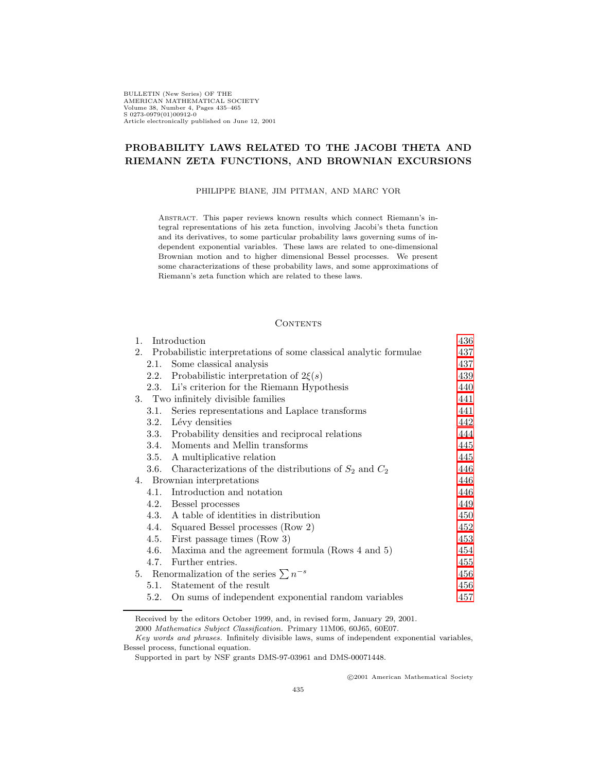BULLETIN (New Series) OF THE AMERICAN MATHEMATICAL SOCIETY Volume 38, Number 4, Pages 435–465 S 0273-0979(01)00912-0 Article electronically published on June 12, 2001

## **PROBABILITY LAWS RELATED TO THE JACOBI THETA AND RIEMANN ZETA FUNCTIONS, AND BROWNIAN EXCURSIONS**

### PHILIPPE BIANE, JIM PITMAN, AND MARC YOR

Abstract. This paper reviews known results which connect Riemann's integral representations of his zeta function, involving Jacobi's theta function and its derivatives, to some particular probability laws governing sums of independent exponential variables. These laws are related to one-dimensional Brownian motion and to higher dimensional Bessel processes. We present some characterizations of these probability laws, and some approximations of Riemann's zeta function which are related to these laws.

## **CONTENTS**

|      |                                                     | 436                                                                                                                                                                                                                                                                                                                                                                                                                                                                                                                                                                                                                         |
|------|-----------------------------------------------------|-----------------------------------------------------------------------------------------------------------------------------------------------------------------------------------------------------------------------------------------------------------------------------------------------------------------------------------------------------------------------------------------------------------------------------------------------------------------------------------------------------------------------------------------------------------------------------------------------------------------------------|
|      |                                                     | 437                                                                                                                                                                                                                                                                                                                                                                                                                                                                                                                                                                                                                         |
| 2.1. | Some classical analysis                             | 437                                                                                                                                                                                                                                                                                                                                                                                                                                                                                                                                                                                                                         |
| 2.2. |                                                     | 439                                                                                                                                                                                                                                                                                                                                                                                                                                                                                                                                                                                                                         |
|      |                                                     | 440                                                                                                                                                                                                                                                                                                                                                                                                                                                                                                                                                                                                                         |
|      |                                                     | 441                                                                                                                                                                                                                                                                                                                                                                                                                                                                                                                                                                                                                         |
| 3.1. | Series representations and Laplace transforms       | 441                                                                                                                                                                                                                                                                                                                                                                                                                                                                                                                                                                                                                         |
| 3.2. |                                                     | 442                                                                                                                                                                                                                                                                                                                                                                                                                                                                                                                                                                                                                         |
|      |                                                     | 444                                                                                                                                                                                                                                                                                                                                                                                                                                                                                                                                                                                                                         |
| 3.4. |                                                     | 445                                                                                                                                                                                                                                                                                                                                                                                                                                                                                                                                                                                                                         |
| 3.5. |                                                     | 445                                                                                                                                                                                                                                                                                                                                                                                                                                                                                                                                                                                                                         |
|      |                                                     | 446                                                                                                                                                                                                                                                                                                                                                                                                                                                                                                                                                                                                                         |
|      |                                                     | 446                                                                                                                                                                                                                                                                                                                                                                                                                                                                                                                                                                                                                         |
| 4.1. | Introduction and notation                           | 446                                                                                                                                                                                                                                                                                                                                                                                                                                                                                                                                                                                                                         |
| 4.2. |                                                     | 449                                                                                                                                                                                                                                                                                                                                                                                                                                                                                                                                                                                                                         |
| 4.3. |                                                     | 450                                                                                                                                                                                                                                                                                                                                                                                                                                                                                                                                                                                                                         |
|      | Squared Bessel processes (Row 2)                    | 452                                                                                                                                                                                                                                                                                                                                                                                                                                                                                                                                                                                                                         |
|      |                                                     | 453                                                                                                                                                                                                                                                                                                                                                                                                                                                                                                                                                                                                                         |
| 4.6. | Maxima and the agreement formula (Rows 4 and 5)     | 454                                                                                                                                                                                                                                                                                                                                                                                                                                                                                                                                                                                                                         |
| 4.7. | Further entries.                                    | 455                                                                                                                                                                                                                                                                                                                                                                                                                                                                                                                                                                                                                         |
|      |                                                     | 456                                                                                                                                                                                                                                                                                                                                                                                                                                                                                                                                                                                                                         |
| 5.1. | Statement of the result                             | 456                                                                                                                                                                                                                                                                                                                                                                                                                                                                                                                                                                                                                         |
| 5.2. | On sums of independent exponential random variables | 457                                                                                                                                                                                                                                                                                                                                                                                                                                                                                                                                                                                                                         |
| 1.   | 2.                                                  | Introduction<br>Probabilistic interpretations of some classical analytic formulae<br>Probabilistic interpretation of $2\xi(s)$<br>2.3. Li's criterion for the Riemann Hypothesis<br>3. Two infinitely divisible families<br>Lévy densities<br>3.3. Probability densities and reciprocal relations<br>Moments and Mellin transforms<br>A multiplicative relation<br>3.6. Characterizations of the distributions of $S_2$ and $C_2$<br>4. Brownian interpretations<br>Bessel processes<br>A table of identities in distribution<br>4.4.<br>4.5. First passage times (Row 3)<br>5. Renormalization of the series $\sum n^{-s}$ |

Received by the editors October 1999, and, in revised form, January 29, 2001.

2000 Mathematics Subject Classification. Primary 11M06, 60J65, 60E07.

c 2001 American Mathematical Society

Key words and phrases. Infinitely divisible laws, sums of independent exponential variables, Bessel process, functional equation.

Supported in part by NSF grants DMS-97-03961 and DMS-00071448.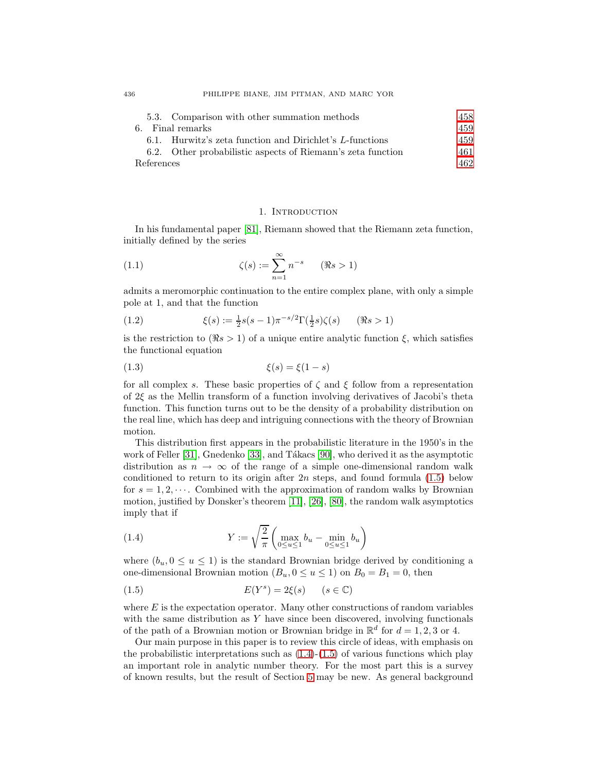| 5.3. Comparison with other summation methods                | 458. |
|-------------------------------------------------------------|------|
| 6. Final remarks                                            | 459  |
| 6.1. Hurwitz's zeta function and Dirichlet's L-functions    | 459  |
| 6.2. Other probabilistic aspects of Riemann's zeta function | 461  |
| References                                                  | 462. |

#### 1. INTRODUCTION

<span id="page-1-0"></span>In his fundamental paper [\[81\]](#page-30-0), Riemann showed that the Riemann zeta function, initially defined by the series

<span id="page-1-5"></span>(1.1) 
$$
\zeta(s) := \sum_{n=1}^{\infty} n^{-s} \qquad (\Re s > 1)
$$

<span id="page-1-3"></span>admits a meromorphic continuation to the entire complex plane, with only a simple pole at 1, and that the function

(1.2) 
$$
\xi(s) := \frac{1}{2}s(s-1)\pi^{-s/2}\Gamma(\frac{1}{2}s)\zeta(s) \qquad (\Re s > 1)
$$

<span id="page-1-4"></span>is the restriction to  $(\Re s > 1)$  of a unique entire analytic function  $\xi$ , which satisfies the functional equation

$$
\xi(s) = \xi(1-s)
$$

for all complex s. These basic properties of  $\zeta$  and  $\xi$  follow from a representation of  $2\xi$  as the Mellin transform of a function involving derivatives of Jacobi's theta function. This function turns out to be the density of a probability distribution on the real line, which has deep and intriguing connections with the theory of Brownian motion.

This distribution first appears in the probabilistic literature in the 1950's in the work of Feller  $[31]$ , Gnedenko  $[33]$ , and Tákacs  $[90]$ , who derived it as the asymptotic distribution as  $n \to \infty$  of the range of a simple one-dimensional random walk conditioned to return to its origin after  $2n$  steps, and found formula  $(1.5)$  below for  $s = 1, 2, \dots$ . Combined with the approximation of random walks by Brownian motion, justified by Donsker's theorem [\[11\]](#page-27-1), [\[26\]](#page-28-2), [\[80\]](#page-30-2), the random walk asymptotics imply that if

<span id="page-1-2"></span>(1.4) 
$$
Y := \sqrt{\frac{2}{\pi}} \left( \max_{0 \le u \le 1} b_u - \min_{0 \le u \le 1} b_u \right)
$$

<span id="page-1-1"></span>where  $(b_u, 0 \le u \le 1)$  is the standard Brownian bridge derived by conditioning a one-dimensional Brownian motion  $(B_u, 0 \le u \le 1)$  on  $B_0 = B_1 = 0$ , then

$$
E(Y^s) = 2\xi(s) \qquad (s \in \mathbb{C})
$$

where  $E$  is the expectation operator. Many other constructions of random variables with the same distribution as  $Y$  have since been discovered, involving functionals of the path of a Brownian motion or Brownian bridge in  $\mathbb{R}^d$  for  $d = 1, 2, 3$  or 4.

Our main purpose in this paper is to review this circle of ideas, with emphasis on the probabilistic interpretations such as  $(1.4)-(1.5)$  $(1.4)-(1.5)$  $(1.4)-(1.5)$  of various functions which play an important role in analytic number theory. For the most part this is a survey of known results, but the result of Section [5](#page-21-0) may be new. As general background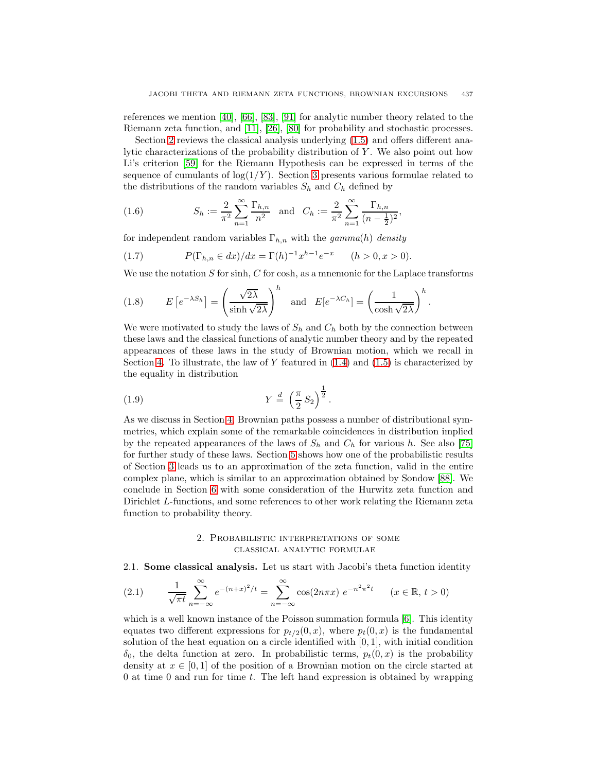references we mention [\[40\]](#page-28-3), [\[66\]](#page-29-0), [\[83\]](#page-30-3), [\[91\]](#page-30-4) for analytic number theory related to the Riemann zeta function, and [\[11\]](#page-27-1), [\[26\]](#page-28-2), [\[80\]](#page-30-2) for probability and stochastic processes.

Section [2](#page-2-0) reviews the classical analysis underlying [\(1.5\)](#page-1-1) and offers different analytic characterizations of the probability distribution of  $Y$ . We also point out how Li's criterion [\[59\]](#page-29-1) for the Riemann Hypothesis can be expressed in terms of the sequence of cumulants of  $log(1/Y)$ . Section [3](#page-6-0) presents various formulae related to the distributions of the random variables  $S_h$  and  $C_h$  defined by

<span id="page-2-3"></span>(1.6) 
$$
S_h := \frac{2}{\pi^2} \sum_{n=1}^{\infty} \frac{\Gamma_{h,n}}{n^2} \text{ and } C_h := \frac{2}{\pi^2} \sum_{n=1}^{\infty} \frac{\Gamma_{h,n}}{(n - \frac{1}{2})^2},
$$

<span id="page-2-5"></span>for independent random variables  $\Gamma_{h,n}$  with the gamma(h) density

(1.7) 
$$
P(\Gamma_{h,n} \in dx)/dx = \Gamma(h)^{-1}x^{h-1}e^{-x} \quad (h > 0, x > 0).
$$

<span id="page-2-4"></span>We use the notation  $S$  for sinh,  $C$  for cosh, as a mnemonic for the Laplace transforms

(1.8) 
$$
E\left[e^{-\lambda S_h}\right] = \left(\frac{\sqrt{2\lambda}}{\sinh\sqrt{2\lambda}}\right)^h
$$
 and  $E[e^{-\lambda C_h}] = \left(\frac{1}{\cosh\sqrt{2\lambda}}\right)^h$ .

We were motivated to study the laws of  $S_h$  and  $C_h$  both by the connection between these laws and the classical functions of analytic number theory and by the repeated appearances of these laws in the study of Brownian motion, which we recall in Section [4.](#page-11-1) To illustrate, the law of Y featured in  $(1.4)$  and  $(1.5)$  is characterized by the equality in distribution

<span id="page-2-6"></span>
$$
(1.9) \t\t Y \stackrel{d}{=} \left(\frac{\pi}{2} S_2\right)^{\frac{1}{2}}.
$$

As we discuss in Section [4,](#page-11-1) Brownian paths possess a number of distributional symmetries, which explain some of the remarkable coincidences in distribution implied by the repeated appearances of the laws of  $S_h$  and  $C_h$  for various h. See also [\[75\]](#page-29-2) for further study of these laws. Section [5](#page-21-0) shows how one of the probabilistic results of Section [3](#page-6-0) leads us to an approximation of the zeta function, valid in the entire complex plane, which is similar to an approximation obtained by Sondow [\[88\]](#page-30-5). We conclude in Section [6](#page-24-0) with some consideration of the Hurwitz zeta function and Dirichlet L-functions, and some references to other work relating the Riemann zeta function to probability theory.

## 2. Probabilistic interpretations of some classical analytic formulae

<span id="page-2-2"></span><span id="page-2-1"></span><span id="page-2-0"></span>2.1. **Some classical analysis.** Let us start with Jacobi's theta function identity

(2.1) 
$$
\frac{1}{\sqrt{\pi t}} \sum_{n=-\infty}^{\infty} e^{-(n+x)^2/t} = \sum_{n=-\infty}^{\infty} \cos(2n\pi x) e^{-n^2\pi^2 t} \quad (x \in \mathbb{R}, t > 0)
$$

which is a well known instance of the Poisson summation formula [\[6\]](#page-27-2). This identity equates two different expressions for  $p_{t/2}(0, x)$ , where  $p_t(0, x)$  is the fundamental solution of the heat equation on a circle identified with  $[0, 1]$ , with initial condition  $\delta_0$ , the delta function at zero. In probabilistic terms,  $p_t(0, x)$  is the probability density at  $x \in [0, 1]$  of the position of a Brownian motion on the circle started at  $0$  at time  $0$  and run for time  $t$ . The left hand expression is obtained by wrapping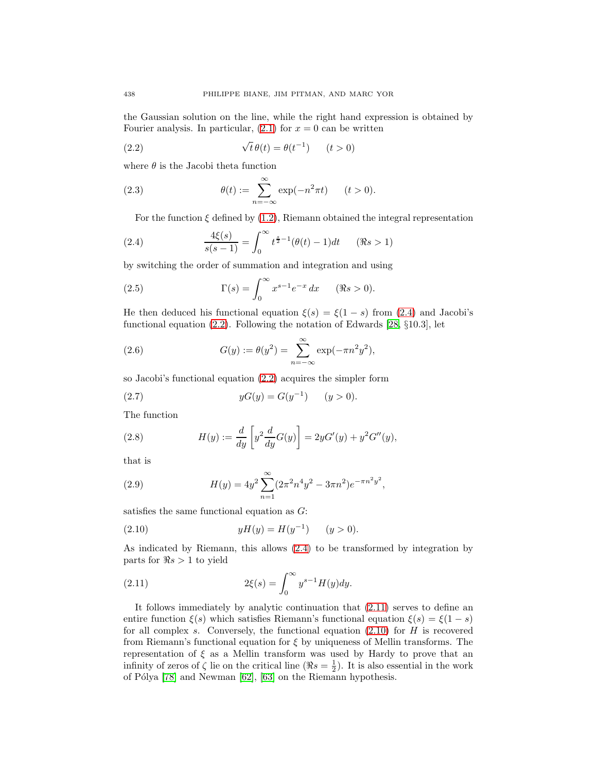<span id="page-3-1"></span>the Gaussian solution on the line, while the right hand expression is obtained by Fourier analysis. In particular,  $(2.1)$  for  $x = 0$  can be written

(2.2) 
$$
\sqrt{t} \theta(t) = \theta(t^{-1}) \qquad (t > 0)
$$

where  $\theta$  is the Jacobi theta function

(2.3) 
$$
\theta(t) := \sum_{n=-\infty}^{\infty} \exp(-n^2 \pi t) \qquad (t > 0).
$$

For the function  $\xi$  defined by [\(1.2\)](#page-1-3), Riemann obtained the integral representation

<span id="page-3-0"></span>(2.4) 
$$
\frac{4\xi(s)}{s(s-1)} = \int_0^\infty t^{\frac{s}{2}-1} (\theta(t)-1) dt \quad (\Re s > 1)
$$

by switching the order of summation and integration and using

(2.5) 
$$
\Gamma(s) = \int_0^\infty x^{s-1} e^{-x} dx \quad (\Re s > 0).
$$

He then deduced his functional equation  $\xi(s) = \xi(1-s)$  from [\(2.4\)](#page-3-0) and Jacobi's functional equation [\(2.2\)](#page-3-1). Following the notation of Edwards [\[28,](#page-28-4) §10.3], let

(2.6) 
$$
G(y) := \theta(y^2) = \sum_{n=-\infty}^{\infty} \exp(-\pi n^2 y^2),
$$

<span id="page-3-4"></span>so Jacobi's functional equation [\(2.2\)](#page-3-1) acquires the simpler form

(2.7) 
$$
yG(y) = G(y^{-1}) \qquad (y > 0).
$$

The function

(2.8) 
$$
H(y) := \frac{d}{dy} \left[ y^2 \frac{d}{dy} G(y) \right] = 2yG'(y) + y^2 G''(y),
$$

that is

(2.9) 
$$
H(y) = 4y^2 \sum_{n=1}^{\infty} (2\pi^2 n^4 y^2 - 3\pi n^2) e^{-\pi n^2 y^2},
$$

<span id="page-3-3"></span>satisfies the same functional equation as G:

(2.10) 
$$
yH(y) = H(y^{-1}) \qquad (y > 0).
$$

As indicated by Riemann, this allows [\(2.4\)](#page-3-0) to be transformed by integration by parts for  $\Re s > 1$  to yield

<span id="page-3-2"></span>(2.11) 
$$
2\xi(s) = \int_0^\infty y^{s-1} H(y) dy.
$$

It follows immediately by analytic continuation that [\(2.11\)](#page-3-2) serves to define an entire function  $\xi(s)$  which satisfies Riemann's functional equation  $\xi(s) = \xi(1-s)$ for all complex s. Conversely, the functional equation  $(2.10)$  for H is recovered from Riemann's functional equation for  $\xi$  by uniqueness of Mellin transforms. The representation of  $\xi$  as a Mellin transform was used by Hardy to prove that an infinity of zeros of  $\zeta$  lie on the critical line  $(\Re s = \frac{1}{2})$ . It is also essential in the work of Pólya  $[78]$  and Newman  $[62]$ ,  $[63]$  on the Riemann hypothesis.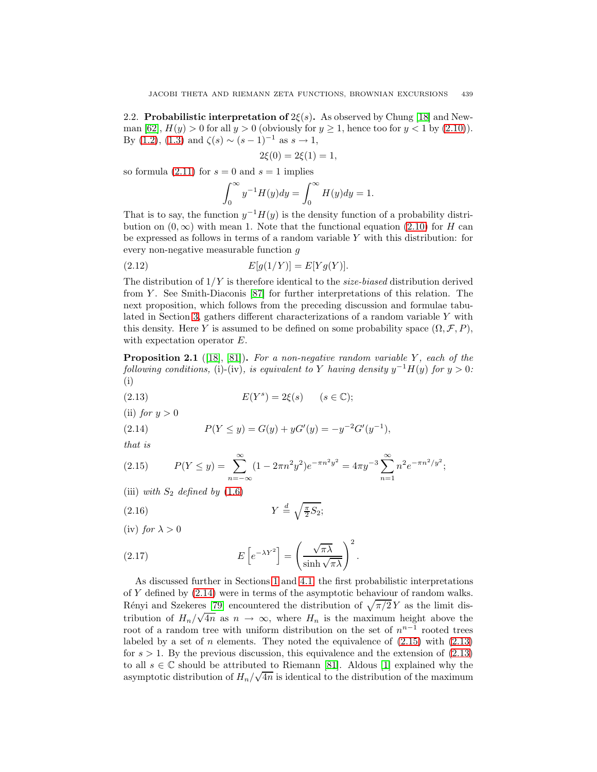<span id="page-4-0"></span>2.2. **Probabilistic interpretation of**  $2\xi(s)$ **.** As observed by Chung [\[18\]](#page-27-3) and New-man [\[62\]](#page-29-4),  $H(y) > 0$  for all  $y > 0$  (obviously for  $y \ge 1$ , hence too for  $y < 1$  by [\(2.10\)](#page-3-3)). By [\(1.2\)](#page-1-3), [\(1.3\)](#page-1-4) and  $\zeta(s) \sim (s-1)^{-1}$  as  $s \to 1$ ,

$$
2\xi(0) = 2\xi(1) = 1,
$$

so formula [\(2.11\)](#page-3-2) for  $s = 0$  and  $s = 1$  implies

$$
\int_0^\infty y^{-1} H(y) dy = \int_0^\infty H(y) dy = 1.
$$

That is to say, the function  $y^{-1}H(y)$  is the density function of a probability distribution on  $(0, \infty)$  with mean 1. Note that the functional equation [\(2.10\)](#page-3-3) for H can be expressed as follows in terms of a random variable  $Y$  with this distribution: for every non-negative measurable function g

<span id="page-4-7"></span>(2.12) 
$$
E[g(1/Y)] = E[Yg(Y)].
$$

The distribution of  $1/Y$  is therefore identical to the *size-biased* distribution derived from Y . See Smith-Diaconis [\[87\]](#page-30-6) for further interpretations of this relation. The next proposition, which follows from the preceding discussion and formulae tabulated in Section [3,](#page-6-0) gathers different characterizations of a random variable Y with this density. Here Y is assumed to be defined on some probability space  $(\Omega, \mathcal{F}, P)$ , with expectation operator E.

<span id="page-4-6"></span>**Proposition 2.1** ([\[18\]](#page-27-3), [\[81\]](#page-30-0)). For a non-negative random variable  $Y$ , each of the following conditions, (i)-(iv), is equivalent to Y having density  $y^{-1}H(y)$  for  $y > 0$ : (i)

- <span id="page-4-3"></span>(2.13)  $E(Y^s) = 2\xi(s) \quad (s \in \mathbb{C});$
- <span id="page-4-1"></span>(ii) for  $y > 0$

(2.14) 
$$
P(Y \le y) = G(y) + yG'(y) = -y^{-2}G'(y^{-1}),
$$

<span id="page-4-2"></span>that is

(2.15) 
$$
P(Y \le y) = \sum_{n=-\infty}^{\infty} (1 - 2\pi n^2 y^2) e^{-\pi n^2 y^2} = 4\pi y^{-3} \sum_{n=1}^{\infty} n^2 e^{-\pi n^2 / y^2};
$$

<span id="page-4-5"></span>(iii) with  $S_2$  defined by  $(1.6)$ 

$$
(2.16)\t\t Y \stackrel{d}{=} \sqrt{\frac{\pi}{2}S_2};
$$

(iv) for  $\lambda > 0$ 

<span id="page-4-4"></span>(2.17) 
$$
E\left[e^{-\lambda Y^2}\right] = \left(\frac{\sqrt{\pi\lambda}}{\sinh\sqrt{\pi\lambda}}\right)^2.
$$

As discussed further in Sections [1](#page-1-0) and [4.1,](#page-11-2) the first probabilistic interpretations of Y defined by [\(2.14\)](#page-4-1) were in terms of the asymptotic behaviour of random walks. Rényi and Szekeres [\[79\]](#page-29-6) encountered the distribution of  $\sqrt{\pi/2} Y$  as the limit distribution of  $H_n/\sqrt{4n}$  as  $n \to \infty$ , where  $H_n$  is the maximum height above the root of a random tree with uniform distribution on the set of  $n^{n-1}$  rooted trees labeled by a set of n elements. They noted the equivalence of  $(2.15)$  with  $(2.13)$ for  $s > 1$ . By the previous discussion, this equivalence and the extension of  $(2.13)$ to all  $s \in \mathbb{C}$  should be attributed to Riemann [\[81\]](#page-30-0). Aldous [\[1\]](#page-27-4) explained why the asymptotic distribution of  $H_n/\sqrt{4n}$  is identical to the distribution of the maximum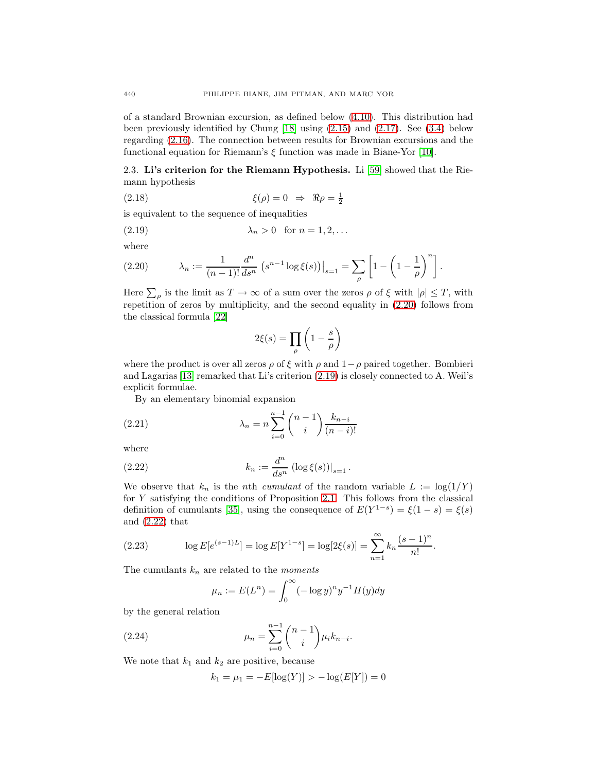of a standard Brownian excursion, as defined below [\(4.10\)](#page-13-0). This distribution had been previously identified by Chung [\[18\]](#page-27-3) using [\(2.15\)](#page-4-2) and [\(2.17\)](#page-4-4). See [\(3.4\)](#page-7-1) below regarding [\(2.16\)](#page-4-5). The connection between results for Brownian excursions and the functional equation for Riemann's  $\xi$  function was made in Biane-Yor [\[10\]](#page-27-5).

<span id="page-5-0"></span>2.3. **Li's criterion for the Riemann Hypothesis.** Li [\[59\]](#page-29-1) showed that the Riemann hypothesis

(2.18) 
$$
\xi(\rho) = 0 \Rightarrow \Re \rho = \frac{1}{2}
$$

<span id="page-5-2"></span>is equivalent to the sequence of inequalities

$$
\lambda_n > 0 \quad \text{for } n = 1, 2, \dots
$$

<span id="page-5-1"></span>where

(2.20) 
$$
\lambda_n := \frac{1}{(n-1)!} \frac{d^n}{ds^n} \left( s^{n-1} \log \xi(s) \right) \Big|_{s=1} = \sum_{\rho} \left[ 1 - \left( 1 - \frac{1}{\rho} \right)^n \right].
$$

Here  $\sum_{\rho}$  is the limit as  $T \to \infty$  of a sum over the zeros  $\rho$  of  $\xi$  with  $|\rho| \leq T$ , with repetition of zeros by multiplicity, and the second equality in [\(2.20\)](#page-5-1) follows from the classical formula [\[22\]](#page-27-6)

$$
2\xi(s)=\prod_{\rho}\left(1-\frac{s}{\rho}\right)
$$

where the product is over all zeros  $\rho$  of  $\xi$  with  $\rho$  and  $1-\rho$  paired together. Bombieri and Lagarias [\[13\]](#page-27-7) remarked that Li's criterion [\(2.19\)](#page-5-2) is closely connected to A. Weil's explicit formulae.

By an elementary binomial expansion

<span id="page-5-4"></span>(2.21) 
$$
\lambda_n = n \sum_{i=0}^{n-1} {n-1 \choose i} \frac{k_{n-i}}{(n-i)!}
$$

<span id="page-5-3"></span>where

(2.22) 
$$
k_n := \frac{d^n}{ds^n} \left( \log \xi(s) \right) \big|_{s=1}.
$$

We observe that  $k_n$  is the nth cumulant of the random variable  $L := \log(1/Y)$ for Y satisfying the conditions of Proposition [2.1.](#page-4-6) This follows from the classical definition of cumulants [\[35\]](#page-28-5), using the consequence of  $E(Y^{1-s}) = \xi(1-s) = \xi(s)$ and [\(2.22\)](#page-5-3) that

(2.23) 
$$
\log E[e^{(s-1)L}] = \log E[Y^{1-s}] = \log[2\xi(s)] = \sum_{n=1}^{\infty} k_n \frac{(s-1)^n}{n!}.
$$

The cumulants  $k_n$  are related to the *moments* 

$$
\mu_n := E(L^n) = \int_0^\infty (-\log y)^n y^{-1} H(y) dy
$$

by the general relation

(2.24) 
$$
\mu_n = \sum_{i=0}^{n-1} {n-1 \choose i} \mu_i k_{n-i}.
$$

We note that  $k_1$  and  $k_2$  are positive, because

$$
k_1 = \mu_1 = -E[\log(Y)] > -\log(E[Y]) = 0
$$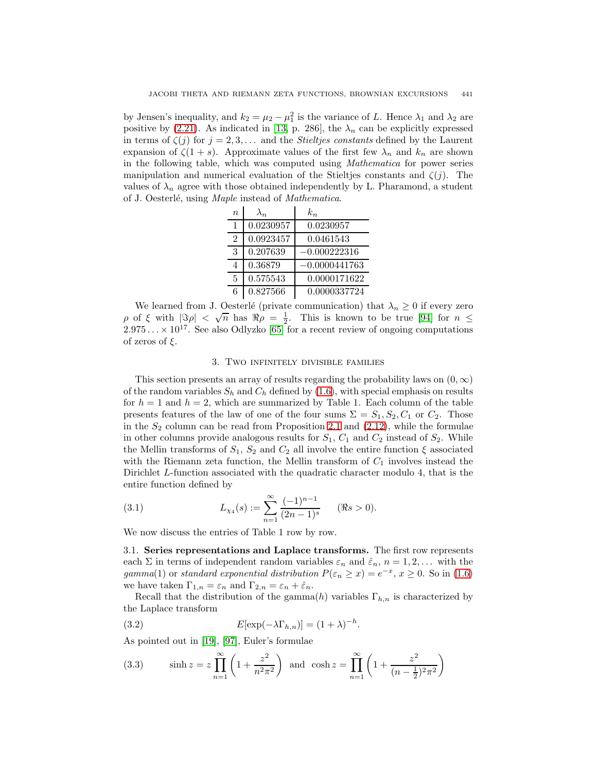by Jensen's inequality, and  $k_2 = \mu_2 - \mu_1^2$  is the variance of L. Hence  $\lambda_1$  and  $\lambda_2$  are positive by [\(2.21\)](#page-5-4). As indicated in [\[13,](#page-27-7) p. 286], the  $\lambda_n$  can be explicitly expressed in terms of  $\zeta(j)$  for  $j = 2, 3, \ldots$  and the *Stieltjes constants* defined by the Laurent expansion of  $\zeta(1+s)$ . Approximate values of the first few  $\lambda_n$  and  $k_n$  are shown in the following table, which was computed using Mathematica for power series manipulation and numerical evaluation of the Stieltjes constants and  $\zeta(j)$ . The values of  $\lambda_n$  agree with those obtained independently by L. Pharamond, a student of J. Oesterlé, using Maple instead of Mathematica.

| $\eta$         | $\lambda_n$ | $k_{n}$         |
|----------------|-------------|-----------------|
| 1              | 0.0230957   | 0.0230957       |
| $\mathfrak{D}$ | 0.0923457   | 0.0461543       |
| 3              | 0.207639    | $-0.000222316$  |
|                | 0.36879     | $-0.0000441763$ |
| 5              | 0.575543    | 0.0000171622    |
| 6              | 0.827566    | 0.0000337724    |

We learned from J. Oesterlé (private communication) that  $\lambda_n \geq 0$  if every zero we learned from J. Oesteric (private communication) that  $\lambda_n \ge 0$  if every zero  $\rho$  of  $\xi$  with  $|\Im \rho| < \sqrt{n}$  has  $\Re \rho = \frac{1}{2}$ . This is known to be true [\[94\]](#page-30-7) for  $n \le$  $2.975... \times 10^{17}$ . See also Odlyzko [\[65\]](#page-29-7) for a recent review of ongoing computations of zeros of  $\xi$ .

#### 3. Two infinitely divisible families

<span id="page-6-0"></span>This section presents an array of results regarding the probability laws on  $(0, \infty)$ of the random variables  $S_h$  and  $C_h$  defined by [\(1.6\)](#page-2-3), with special emphasis on results for  $h = 1$  and  $h = 2$ , which are summarized by Table 1. Each column of the table presents features of the law of one of the four sums  $\Sigma = S_1, S_2, C_1$  or  $C_2$ . Those in the  $S_2$  column can be read from Proposition [2.1](#page-4-6) and  $(2.12)$ , while the formulae in other columns provide analogous results for  $S_1$ ,  $C_1$  and  $C_2$  instead of  $S_2$ . While the Mellin transforms of  $S_1$ ,  $S_2$  and  $C_2$  all involve the entire function  $\xi$  associated with the Riemann zeta function, the Mellin transform of  $C_1$  involves instead the Dirichlet L-function associated with the quadratic character modulo 4, that is the entire function defined by

<span id="page-6-2"></span>(3.1) 
$$
L_{\chi_4}(s) := \sum_{n=1}^{\infty} \frac{(-1)^{n-1}}{(2n-1)^s} \quad (\Re s > 0).
$$

<span id="page-6-1"></span>We now discuss the entries of Table 1 row by row.

3.1. **Series representations and Laplace transforms.** The first row represents each  $\Sigma$  in terms of independent random variables  $\varepsilon_n$  and  $\hat{\varepsilon}_n$ ,  $n = 1, 2, \dots$  with the gamma(1) or standard exponential distribution  $P(\varepsilon_n \geq x) = e^{-x}, x \geq 0$ . So in [\(1.6\)](#page-2-3) we have taken  $\Gamma_{1,n} = \varepsilon_n$  and  $\Gamma_{2,n} = \varepsilon_n + \hat{\varepsilon}_n$ .

<span id="page-6-3"></span>Recall that the distribution of the gamma $(h)$  variables  $\Gamma_{h,n}$  is characterized by the Laplace transform

(3.2) 
$$
E[\exp(-\lambda \Gamma_{h,n})] = (1+\lambda)^{-h}.
$$

<span id="page-6-4"></span>As pointed out in [\[19\]](#page-27-8), [\[97\]](#page-30-8), Euler's formulae

(3.3) 
$$
\sinh z = z \prod_{n=1}^{\infty} \left( 1 + \frac{z^2}{n^2 \pi^2} \right) \text{ and } \cosh z = \prod_{n=1}^{\infty} \left( 1 + \frac{z^2}{(n - \frac{1}{2})^2 \pi^2} \right)
$$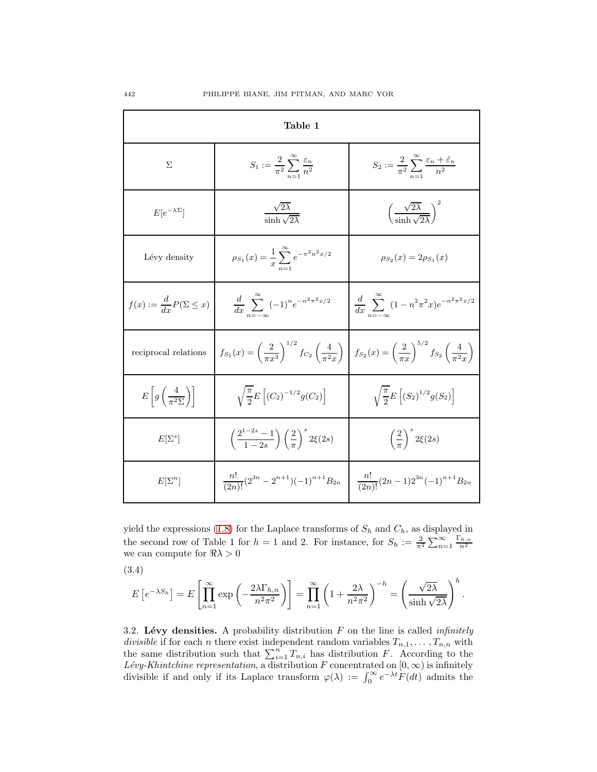| Table 1                                             |                                                                                            |                                                                                         |  |  |  |
|-----------------------------------------------------|--------------------------------------------------------------------------------------------|-----------------------------------------------------------------------------------------|--|--|--|
| $\Sigma$                                            | $S_1 := \frac{2}{\pi^2} \sum_{n=1}^{\infty} \frac{\varepsilon_n}{n^2}$                     | $S_2 := \frac{2}{\pi^2} \sum_{n=1}^{\infty} \frac{\varepsilon_n + \varepsilon_n}{n^2}$  |  |  |  |
| $E[e^{-\lambda\Sigma}]$                             | $\frac{\sqrt{2\lambda}}{\sinh \sqrt{2\lambda}}$                                            | $\left(\frac{\sqrt{2\lambda}}{\sinh \sqrt{2\lambda}}\right)^2$                          |  |  |  |
| Lévy density                                        | $\rho_{S_1}(x) = \frac{1}{x} \sum_{n=1}^{\infty} e^{-\pi^2 n^2 x/2}$                       | $\rho_{S_2}(x) = 2\rho_{S_1}(x)$                                                        |  |  |  |
| $f(x) := \frac{d}{dx} P(\Sigma \leq x)$             | $rac{d}{dx}$ $\sum^{\infty}$ $(-1)^n e^{-n^2 \pi^2 x/2}$                                   | $rac{d}{dx} \sum^{\infty} (1-n^2 \pi^2 x) e^{-n^2 \pi^2 x/2}$                           |  |  |  |
| reciprocal relations                                | $f_{S_1}(x) = \left(\frac{2}{\pi x^3}\right)^{1/2} f_{C_2}\left(\frac{4}{\pi^2 x}\right).$ | $f_{S_2}(x) = \left(\frac{2}{\pi x}\right)^{5/2} f_{S_2}\left(\frac{4}{\pi^2 x}\right)$ |  |  |  |
| $E\left[g\left(\frac{4}{\pi^2\Sigma}\right)\right]$ | $\sqrt{\frac{\pi}{2}}E\left[ (C_2)^{-1/2}g(C_2) \right]$                                   | $\sqrt{\frac{\pi}{2}}E\left[ (S_2)^{1/2}g(S_2) \right]$                                 |  |  |  |
| $E[\Sigma^s]$                                       | $\left(\frac{2^{1-2s}-1}{1-2s}\right)\left(\frac{2}{\pi}\right)^s 2\xi(2s)$                | $\left(\frac{2}{\pi}\right)^s 2\xi(2s)$                                                 |  |  |  |
| $E[\Sigma^n]$                                       | $\frac{n!}{(2n)!} (2^{3n} - 2^{n+1}) (-1)^{n+1} B_{2n}$                                    | $\frac{n!}{(2n)!}(2n-1)2^{3n}(-1)^{n+1}B_{2n}$                                          |  |  |  |

yield the expressions [\(1.8\)](#page-2-4) for the Laplace transforms of  $S_h$  and  $C_h$ , as displayed in the second row of Table 1 for  $h = 1$  and 2. For instance, for  $S_h := \frac{2}{\pi^2} \sum_{n=1}^{\infty} \frac{\Gamma_{h,n}}{n^2}$ we can compute for  $\Re \lambda > 0$ 

<span id="page-7-1"></span>
$$
(3.4)
$$

$$
E\left[e^{-\lambda S_h}\right] = E\left[\prod_{n=1}^{\infty} \exp\left(-\frac{2\lambda \Gamma_{h,n}}{n^2 \pi^2}\right)\right] = \prod_{n=1}^{\infty} \left(1 + \frac{2\lambda}{n^2 \pi^2}\right)^{-h} = \left(\frac{\sqrt{2\lambda}}{\sinh\sqrt{2\lambda}}\right)^h.
$$

<span id="page-7-0"></span>3.2. Lévy densities. A probability distribution  $F$  on the line is called *infinitely* divisible if for each n there exist independent random variables  $T_{n,1},\ldots,T_{n,n}$  with the same distribution such that  $\sum_{i=1}^{n} T_{n,i}$  has distribution F. According to the Lévy-Khintchine representation, a distribution F concentrated on  $[0, \infty)$  is infinitely divisible if and only if its Laplace transform  $\varphi(\lambda) := \int_0^\infty e^{-\lambda t} F(dt)$  admits the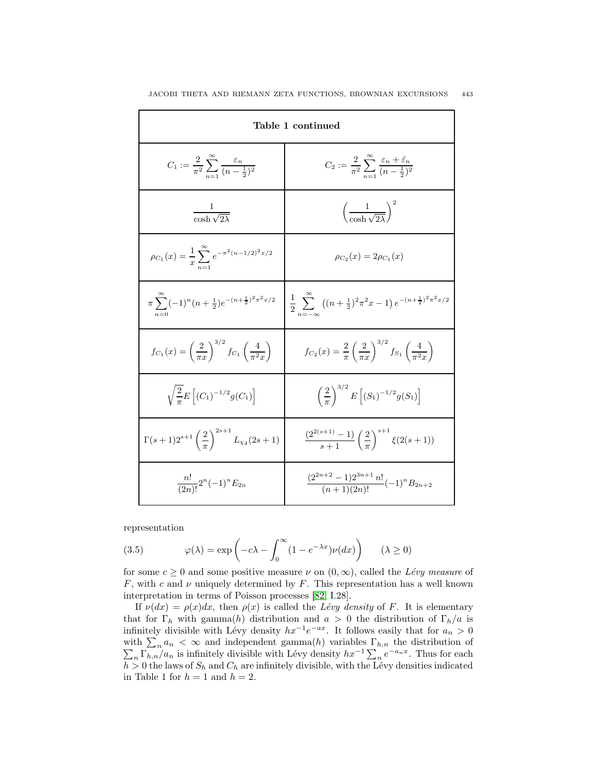| Table 1 continued                                                                       |                                                                                                        |  |
|-----------------------------------------------------------------------------------------|--------------------------------------------------------------------------------------------------------|--|
| $C_1 := \frac{2}{\pi^2} \sum_{n=1}^{\infty} \frac{\varepsilon_n}{(n-\frac{1}{2})^2}$    | $C_2 := \frac{2}{\pi^2} \sum_{n=1}^{\infty} \frac{\varepsilon_n + \varepsilon_n}{(n - \frac{1}{2})^2}$ |  |
| $\frac{1}{\cosh \sqrt{2\lambda}}$                                                       | $\left(\frac{1}{\cosh \sqrt{2\lambda}}\right)^2$                                                       |  |
| $\rho_{C_1}(x) = \frac{1}{x} \sum_{n=1}^{\infty} e^{-\pi^2 (n-1/2)^2 x/2}$              | $\rho_{C_2}(x) = 2\rho_{C_1}(x)$                                                                       |  |
| $\pi \sum_{n=0}^{\infty} (-1)^n (n + \frac{1}{2}) e^{-(n + \frac{1}{2})^2 \pi^2 x/2}$   | $\frac{1}{2} \sum_{n=1}^{\infty} ((n+\frac{1}{2})^2 \pi^2 x - 1) e^{-(n+\frac{1}{2})^2 \pi^2 x/2}$     |  |
| $f_{C_1}(x) = \left(\frac{2}{\pi x}\right)^{3/2} f_{C_1}\left(\frac{4}{\pi^2 x}\right)$ | $f_{C_2}(x) = \frac{2}{\pi} \left(\frac{2}{\pi x}\right)^{3/2} f_{S_1}\left(\frac{4}{\pi^2 x}\right)$  |  |
| $\sqrt{\frac{2}{\pi}}E\left[ (C_1)^{-1/2}g(C_1) \right]$                                | $\left(\frac{2}{\pi}\right)^{3/2} E\left[ (S_1)^{-1/2} g(S_1) \right]$                                 |  |
| $\Gamma(s+1)2^{s+1}\left(\frac{2}{\pi}\right)^{2s+1}L_{\chi_4}(2s+1)$                   | $\frac{\left(2^{2(s+1)}-1\right)}{s+1}\left(\frac{2}{\pi}\right)^{s+1}\xi(2(s+1))$                     |  |
| $\frac{n!}{(2n)!}2^n(-1)^nE_{2n}$                                                       | $\frac{(2^{2n+2}-1)2^{3n+1} n!}{(n+1)(2n)!}(-1)^n B_{2n+2}$                                            |  |

representation

(3.5) 
$$
\varphi(\lambda) = \exp\left(-c\lambda - \int_0^\infty (1 - e^{-\lambda x}) \nu(dx)\right) \qquad (\lambda \ge 0)
$$

for some  $c \ge 0$  and some positive measure  $\nu$  on  $(0, \infty)$ , called the Lévy measure of F, with c and  $\nu$  uniquely determined by F. This representation has a well known interpretation in terms of Poisson processes [\[82,](#page-30-9) I.28].

If  $\nu(dx) = \rho(x)dx$ , then  $\rho(x)$  is called the Lévy density of F. It is elementary that for  $\Gamma_h$  with gamma(h) distribution and  $a > 0$  the distribution of  $\Gamma_h/a$  is infinitely divisible with Lévy density  $hx^{-1}e^{-ax}$ . It follows easily that for  $a_n > 0$ with  $\sum_n a_n < \infty$  and independent gamma(h) variables  $\Gamma_{h,n}$  the distribution of  $\sum_n \Gamma_{h,n}/a_n$  is infinitely divisible with Lévy density  $hx^{-1}\sum_n e^{-a_nx}$ . Thus for each  $\sqrt{n \ln n/a_n}$  is infinitely divisible with Lévy density  $hx^{-1} \sum_n e^{-a_n x}$ . Thus for each  $h > 0$  the laws of  $S_h$  and  $C_h$  are infinitely divisible, with the Lévy densities indicated in Table 1 for  $h = 1$  and  $h = 2$ .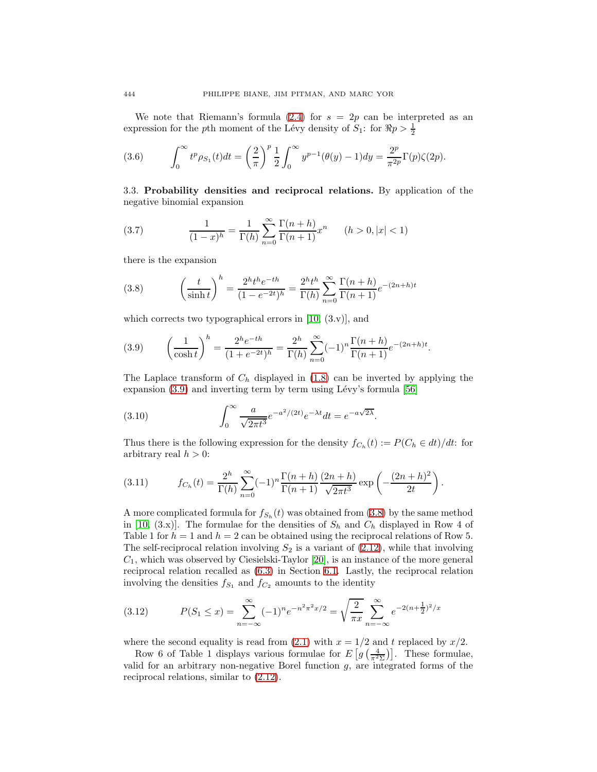We note that Riemann's formula  $(2.4)$  for  $s = 2p$  can be interpreted as an expression for the pth moment of the Lévy density of  $S_1$ : for  $\Re p > \frac{1}{2}$ 

(3.6) 
$$
\int_0^\infty t^p \rho_{S_1}(t) dt = \left(\frac{2}{\pi}\right)^p \frac{1}{2} \int_0^\infty y^{p-1} (\theta(y) - 1) dy = \frac{2^p}{\pi^{2p}} \Gamma(p) \zeta(2p).
$$

<span id="page-9-0"></span>3.3. **Probability densities and reciprocal relations.** By application of the negative binomial expansion

(3.7) 
$$
\frac{1}{(1-x)^h} = \frac{1}{\Gamma(h)} \sum_{n=0}^{\infty} \frac{\Gamma(n+h)}{\Gamma(n+1)} x^n \qquad (h > 0, |x| < 1)
$$

<span id="page-9-2"></span>there is the expansion

(3.8) 
$$
\left(\frac{t}{\sinh t}\right)^h = \frac{2^h t^h e^{-th}}{(1 - e^{-2t})^h} = \frac{2^h t^h}{\Gamma(h)} \sum_{n=0}^{\infty} \frac{\Gamma(n+h)}{\Gamma(n+1)} e^{-(2n+h)t}
$$

<span id="page-9-1"></span>which corrects two typographical errors in  $[10, (3 \nu)]$  $[10, (3 \nu)]$ , and

(3.9) 
$$
\left(\frac{1}{\cosh t}\right)^h = \frac{2^h e^{-th}}{(1 + e^{-2t})^h} = \frac{2^h}{\Gamma(h)} \sum_{n=0}^{\infty} (-1)^n \frac{\Gamma(n+h)}{\Gamma(n+1)} e^{-(2n+h)t}.
$$

The Laplace transform of  $C_h$  displayed in [\(1.8\)](#page-2-4) can be inverted by applying the expansion  $(3.9)$  and inverting term by term using Lévy's formula [\[56\]](#page-29-8)

(3.10) 
$$
\int_0^\infty \frac{a}{\sqrt{2\pi t^3}} e^{-a^2/(2t)} e^{-\lambda t} dt = e^{-a\sqrt{2\lambda}}.
$$

Thus there is the following expression for the density  $f_{C_h}(t) := P(C_h \in dt)/dt$ : for arbitrary real  $h > 0$ :

(3.11) 
$$
f_{C_h}(t) = \frac{2^h}{\Gamma(h)} \sum_{n=0}^{\infty} (-1)^n \frac{\Gamma(n+h)}{\Gamma(n+1)} \frac{(2n+h)}{\sqrt{2\pi t^3}} \exp\left(-\frac{(2n+h)^2}{2t}\right).
$$

A more complicated formula for  $f_{S_h}(t)$  was obtained from [\(3.8\)](#page-9-2) by the same method in [\[10,](#page-27-5) (3.x)]. The formulae for the densities of  $S_h$  and  $C_h$  displayed in Row 4 of Table 1 for  $h = 1$  and  $h = 2$  can be obtained using the reciprocal relations of Row 5. The self-reciprocal relation involving  $S_2$  is a variant of [\(2.12\)](#page-4-7), while that involving  $C_1$ , which was observed by Ciesielski-Taylor [\[20\]](#page-27-9), is an instance of the more general reciprocal relation recalled as [\(6.3\)](#page-25-0) in Section [6.1.](#page-24-1) Lastly, the reciprocal relation involving the densities  $f_{S_1}$  and  $f_{C_2}$  amounts to the identity

(3.12) 
$$
P(S_1 \le x) = \sum_{n=-\infty}^{\infty} (-1)^n e^{-n^2 \pi^2 x/2} = \sqrt{\frac{2}{\pi x}} \sum_{n=-\infty}^{\infty} e^{-2(n+\frac{1}{2})^2/x}
$$

where the second equality is read from [\(2.1\)](#page-2-2) with  $x = 1/2$  and t replaced by  $x/2$ .

Row 6 of Table 1 displays various formulae for  $E\left[g\left(\frac{4}{\pi^2\Sigma}\right)\right]$ . These formulae, valid for an arbitrary non-negative Borel function  $g$ , are integrated forms of the reciprocal relations, similar to [\(2.12\)](#page-4-7).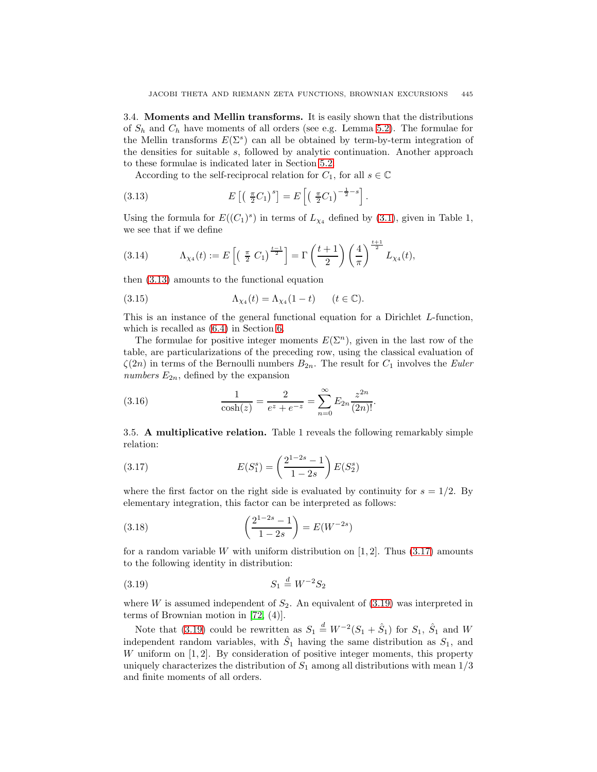<span id="page-10-0"></span>3.4. **Moments and Mellin transforms.** It is easily shown that the distributions of  $S_h$  and  $C_h$  have moments of all orders (see e.g. Lemma [5.2\)](#page-22-1). The formulae for the Mellin transforms  $E(\Sigma^s)$  can all be obtained by term-by-term integration of the densities for suitable s, followed by analytic continuation. Another approach to these formulae is indicated later in Section [5.2.](#page-22-0)

According to the self-reciprocal relation for  $C_1$ , for all  $s \in \mathbb{C}$ 

<span id="page-10-2"></span>(3.13) 
$$
E\left[\left(\frac{\pi}{2}C_1\right)^s\right] = E\left[\left(\frac{\pi}{2}C_1\right)^{-\frac{1}{2}-s}\right].
$$

Using the formula for  $E((C_1)^s)$  in terms of  $L_{\chi_4}$  defined by [\(3.1\)](#page-6-2), given in Table 1, we see that if we define

(3.14) 
$$
\Lambda_{\chi_4}(t) := E\left[ \left( \frac{\pi}{2} C_1 \right)^{\frac{t-1}{2}} \right] = \Gamma\left( \frac{t+1}{2} \right) \left( \frac{4}{\pi} \right)^{\frac{t+1}{2}} L_{\chi_4}(t),
$$

then [\(3.13\)](#page-10-2) amounts to the functional equation

(3.15) 
$$
\Lambda_{\chi_4}(t) = \Lambda_{\chi_4}(1-t) \qquad (t \in \mathbb{C}).
$$

This is an instance of the general functional equation for a Dirichlet L-function, which is recalled as [\(6.4\)](#page-25-1) in Section [6.](#page-24-0)

The formulae for positive integer moments  $E(\Sigma^n)$ , given in the last row of the table, are particularizations of the preceding row, using the classical evaluation of  $\zeta(2n)$  in terms of the Bernoulli numbers  $B_{2n}$ . The result for  $C_1$  involves the *Euler* numbers  $E_{2n}$ , defined by the expansion

(3.16) 
$$
\frac{1}{\cosh(z)} = \frac{2}{e^z + e^{-z}} = \sum_{n=0}^{\infty} E_{2n} \frac{z^{2n}}{(2n)!}.
$$

<span id="page-10-1"></span>3.5. **A multiplicative relation.** Table 1 reveals the following remarkably simple relation:

<span id="page-10-3"></span>(3.17) 
$$
E(S_1^s) = \left(\frac{2^{1-2s} - 1}{1-2s}\right) E(S_2^s)
$$

where the first factor on the right side is evaluated by continuity for  $s = 1/2$ . By elementary integration, this factor can be interpreted as follows:

(3.18) 
$$
\left(\frac{2^{1-2s}-1}{1-2s}\right) = E(W^{-2s})
$$

<span id="page-10-4"></span>for a random variable W with uniform distribution on  $[1, 2]$ . Thus  $(3.17)$  amounts to the following identity in distribution:

$$
(3.19) \t\t S_1 \stackrel{d}{=} W^{-2} S_2
$$

where W is assumed independent of  $S_2$ . An equivalent of [\(3.19\)](#page-10-4) was interpreted in terms of Brownian motion in [\[72,](#page-29-9) (4)].

Note that [\(3.19\)](#page-10-4) could be rewritten as  $S_1 \stackrel{d}{=} W^{-2}(S_1 + \hat{S}_1)$  for  $S_1$ ,  $\hat{S}_1$  and W independent random variables, with  $\hat{S}_1$  having the same distribution as  $S_1$ , and W uniform on  $[1, 2]$ . By consideration of positive integer moments, this property uniquely characterizes the distribution of  $S_1$  among all distributions with mean  $1/3$ and finite moments of all orders.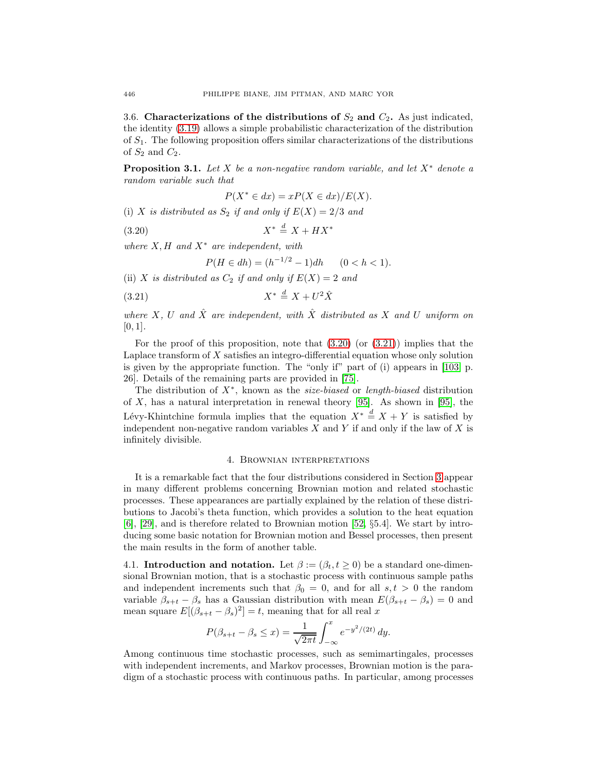<span id="page-11-0"></span>3.6. **Characterizations of the distributions of**  $S_2$  **and**  $C_2$ **.** As just indicated, the identity [\(3.19\)](#page-10-4) allows a simple probabilistic characterization of the distribution of  $S_1$ . The following proposition offers similar characterizations of the distributions of  $S_2$  and  $C_2$ .

**Proposition 3.1.** Let X be a non-negative random variable, and let  $X^*$  denote a random variable such that

$$
P(X^* \in dx) = xP(X \in dx)/E(X).
$$

<span id="page-11-3"></span>(i) X is distributed as  $S_2$  if and only if  $E(X)=2/3$  and

X<sup>∗</sup> <sup>d</sup> = X + HX<sup>∗</sup> (3.20)

where  $X, H$  and  $X^*$  are independent, with

$$
P(H \in dh) = (h^{-1/2} - 1)dh \qquad (0 < h < 1).
$$

<span id="page-11-4"></span>(ii) X is distributed as  $C_2$  if and only if  $E(X)=2$  and

X<sup>∗</sup> <sup>d</sup> = X + U<sup>2</sup>Xˆ (3.21)

where X, U and  $\hat{X}$  are independent, with  $\hat{X}$  distributed as X and U uniform on  $[0, 1]$ .

For the proof of this proposition, note that  $(3.20)$  (or  $(3.21)$ ) implies that the Laplace transform of  $X$  satisfies an integro-differential equation whose only solution is given by the appropriate function. The "only if" part of (i) appears in [\[103,](#page-30-10) p. 26]. Details of the remaining parts are provided in [\[75\]](#page-29-2).

The distribution of  $X^*$ , known as the *size-biased* or *length-biased* distribution of  $X$ , has a natural interpretation in renewal theory [\[95\]](#page-30-11). As shown in [95], the Lévy-Khintchine formula implies that the equation  $X^* \stackrel{d}{=} X + Y$  is satisfied by independent non-negative random variables  $X$  and  $Y$  if and only if the law of  $X$  is infinitely divisible.

#### 4. Brownian interpretations

<span id="page-11-1"></span>It is a remarkable fact that the four distributions considered in Section [3](#page-6-0) appear in many different problems concerning Brownian motion and related stochastic processes. These appearances are partially explained by the relation of these distributions to Jacobi's theta function, which provides a solution to the heat equation [\[6\]](#page-27-2), [\[29\]](#page-28-6), and is therefore related to Brownian motion [\[52,](#page-28-7) §5.4]. We start by introducing some basic notation for Brownian motion and Bessel processes, then present the main results in the form of another table.

<span id="page-11-2"></span>4.1. **Introduction and notation.** Let  $\beta := (\beta_t, t \geq 0)$  be a standard one-dimensional Brownian motion, that is a stochastic process with continuous sample paths and independent increments such that  $\beta_0 = 0$ , and for all  $s, t > 0$  the random variable  $\beta_{s+t} - \beta_s$  has a Gaussian distribution with mean  $E(\beta_{s+t} - \beta_s) = 0$  and mean square  $E[(\beta_{s+t} - \beta_s)^2] = t$ , meaning that for all real x

$$
P(\beta_{s+t} - \beta_s \le x) = \frac{1}{\sqrt{2\pi t}} \int_{-\infty}^x e^{-y^2/(2t)} dy.
$$

Among continuous time stochastic processes, such as semimartingales, processes with independent increments, and Markov processes, Brownian motion is the paradigm of a stochastic process with continuous paths. In particular, among processes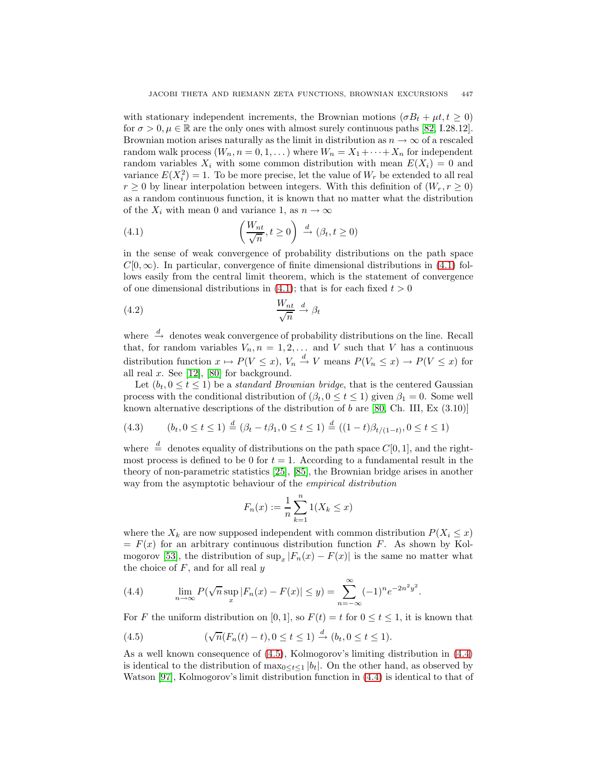with stationary independent increments, the Brownian motions ( $\sigma B_t + \mu t, t \geq 0$ ) for  $\sigma > 0$ ,  $\mu \in \mathbb{R}$  are the only ones with almost surely continuous paths [\[82,](#page-30-9) I.28.12]. Brownian motion arises naturally as the limit in distribution as  $n \to \infty$  of a rescaled random walk process  $(W_n, n = 0, 1, ...)$  where  $W_n = X_1 + \cdots + X_n$  for independent random variables  $X_i$  with some common distribution with mean  $E(X_i) = 0$  and variance  $E(X_i^2) = 1$ . To be more precise, let the value of  $W_r$  be extended to all real  $r \geq 0$  by linear interpolation between integers. With this definition of  $(W_r, r \geq 0)$ as a random continuous function, it is known that no matter what the distribution of the  $X_i$  with mean 0 and variance 1, as  $n \to \infty$ 

<span id="page-12-0"></span>(4.1) 
$$
\left(\frac{W_{nt}}{\sqrt{n}}, t \ge 0\right) \stackrel{d}{\to} (\beta_t, t \ge 0)
$$

in the sense of weak convergence of probability distributions on the path space  $C[0,\infty)$ . In particular, convergence of finite dimensional distributions in [\(4.1\)](#page-12-0) follows easily from the central limit theorem, which is the statement of convergence of one dimensional distributions in [\(4.1\)](#page-12-0); that is for each fixed  $t > 0$ 

$$
\frac{W_{nt}}{\sqrt{n}} \xrightarrow{d} \beta_t
$$

where  $\stackrel{d}{\rightarrow}$  denotes weak convergence of probability distributions on the line. Recall that, for random variables  $V_n$ ,  $n = 1, 2, \ldots$  and V such that V has a continuous distribution function  $x \mapsto P(V \leq x)$ ,  $V_n \stackrel{d}{\to} V$  means  $P(V_n \leq x) \to P(V \leq x)$  for all real  $x$ . See [\[12\]](#page-27-10), [\[80\]](#page-30-2) for background.

Let  $(b_t, 0 \le t \le 1)$  be a standard Brownian bridge, that is the centered Gaussian process with the conditional distribution of  $(\beta_t, 0 \le t \le 1)$  given  $\beta_1 = 0$ . Some well known alternative descriptions of the distribution of b are  $[80, Ch. III, Ex (3.10)]$  $[80, Ch. III, Ex (3.10)]$ 

(4.3) 
$$
(b_t, 0 \le t \le 1) \stackrel{d}{=} (\beta_t - t\beta_1, 0 \le t \le 1) \stackrel{d}{=} ((1-t)\beta_{t/(1-t)}, 0 \le t \le 1)
$$

where  $\stackrel{d}{=}$  denotes equality of distributions on the path space  $C[0, 1]$ , and the rightmost process is defined to be 0 for  $t = 1$ . According to a fundamental result in the theory of non-parametric statistics [\[25\]](#page-28-8), [\[85\]](#page-30-12), the Brownian bridge arises in another way from the asymptotic behaviour of the *empirical distribution* 

$$
F_n(x) := \frac{1}{n} \sum_{k=1}^n 1(X_k \le x)
$$

where the  $X_k$  are now supposed independent with common distribution  $P(X_i \leq x)$  $= F(x)$  for an arbitrary continuous distribution function F. As shown by Kol-mogorov [\[53\]](#page-29-10), the distribution of  $\sup_x |F_n(x) - F(x)|$  is the same no matter what the choice of  $F$ , and for all real  $y$ 

<span id="page-12-2"></span>(4.4) 
$$
\lim_{n \to \infty} P(\sqrt{n} \sup_x |F_n(x) - F(x)| \le y) = \sum_{n = -\infty}^{\infty} (-1)^n e^{-2n^2 y^2}.
$$

<span id="page-12-1"></span>For F the uniform distribution on [0, 1], so  $F(t) = t$  for  $0 \le t \le 1$ , it is known that

(4.5) 
$$
(\sqrt{n}(F_n(t)-t), 0 \le t \le 1) \stackrel{d}{\to} (b_t, 0 \le t \le 1).
$$

As a well known consequence of [\(4.5\)](#page-12-1), Kolmogorov's limiting distribution in [\(4.4\)](#page-12-2) is identical to the distribution of  $\max_{0 \leq t \leq 1} |b_t|$ . On the other hand, as observed by Watson [\[97\]](#page-30-8), Kolmogorov's limit distribution function in [\(4.4\)](#page-12-2) is identical to that of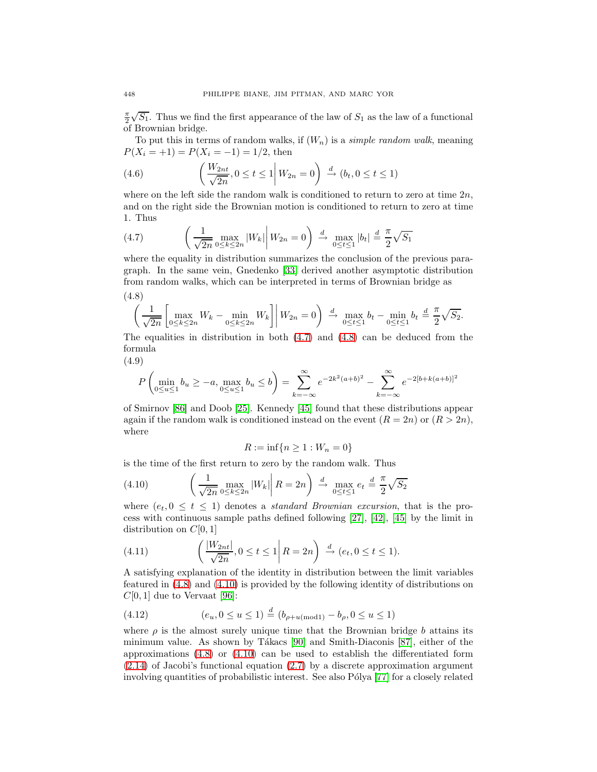$\frac{\pi}{2}\sqrt{S_1}$ . Thus we find the first appearance of the law of  $S_1$  as the law of a functional of Brownian bridge.

To put this in terms of random walks, if  $(W_n)$  is a *simple random walk*, meaning  $P(X_i = +1) = P(X_i = -1) = 1/2$ , then

(4.6) 
$$
\left(\frac{W_{2nt}}{\sqrt{2n}}, 0 \le t \le 1 \middle| W_{2n} = 0\right) \stackrel{d}{\to} (b_t, 0 \le t \le 1)
$$

where on the left side the random walk is conditioned to return to zero at time  $2n$ , and on the right side the Brownian motion is conditioned to return to zero at time 1. Thus

<span id="page-13-1"></span>(4.7) 
$$
\left(\frac{1}{\sqrt{2n}} \max_{0 \le k \le 2n} |W_k| \middle| W_{2n} = 0\right) \xrightarrow{d} \max_{0 \le t \le 1} |b_t| \stackrel{d}{=} \frac{\pi}{2} \sqrt{S_1}
$$

<span id="page-13-2"></span>where the equality in distribution summarizes the conclusion of the previous paragraph. In the same vein, Gnedenko [\[33\]](#page-28-1) derived another asymptotic distribution from random walks, which can be interpreted in terms of Brownian bridge as

$$
(4.8) \left(\frac{1}{\sqrt{2n}} \left[\max_{0 \le k \le 2n} W_k - \min_{0 \le k \le 2n} W_k\right] \middle| W_{2n} = 0\right) \xrightarrow{d} \max_{0 \le t \le 1} b_t - \min_{0 \le t \le 1} b_t \stackrel{d}{=} \frac{\pi}{2} \sqrt{S_2}.
$$

The equalities in distribution in both  $(4.7)$  and  $(4.8)$  can be deduced from the formula

(4.9)

$$
P\left(\min_{0\leq u\leq 1}b_u\geq -a,\max_{0\leq u\leq 1}b_u\leq b\right)=\sum_{k=-\infty}^{\infty}e^{-2k^2(a+b)^2}-\sum_{k=-\infty}^{\infty}e^{-2[b+k(a+b)]^2}
$$

of Smirnov [\[86\]](#page-30-13) and Doob [\[25\]](#page-28-8). Kennedy [\[45\]](#page-28-9) found that these distributions appear again if the random walk is conditioned instead on the event  $(R = 2n)$  or  $(R > 2n)$ , where

$$
R:=\inf\{n\geq 1: W_n=0\}
$$

<span id="page-13-0"></span>is the time of the first return to zero by the random walk. Thus

(4.10) 
$$
\left(\frac{1}{\sqrt{2n}} \max_{0 \le k \le 2n} |W_k| \middle| R = 2n\right) \stackrel{d}{\to} \max_{0 \le t \le 1} e_t \stackrel{d}{=} \frac{\pi}{2} \sqrt{S_2}
$$

where  $(e_t, 0 \leq t \leq 1)$  denotes a *standard Brownian excursion*, that is the process with continuous sample paths defined following [\[27\]](#page-28-10), [\[42\]](#page-28-11), [\[45\]](#page-28-9) by the limit in distribution on  $C[0, 1]$ 

(4.11) 
$$
\left(\frac{|W_{2nt}|}{\sqrt{2n}}, 0 \le t \le 1 | R = 2n\right) \stackrel{d}{\to} (e_t, 0 \le t \le 1).
$$

A satisfying explanation of the identity in distribution between the limit variables featured in [\(4.8\)](#page-13-2) and [\(4.10\)](#page-13-0) is provided by the following identity of distributions on  $C[0, 1]$  due to Vervaat [\[96\]](#page-30-14):

<span id="page-13-3"></span>(4.12) 
$$
(e_u, 0 \le u \le 1) \stackrel{d}{=} (b_{\rho+u \pmod{1}} - b_{\rho}, 0 \le u \le 1)
$$

where  $\rho$  is the almost surely unique time that the Brownian bridge b attains its minimum value. As shown by Tákacs  $[90]$  and Smith-Diaconis  $[87]$ , either of the approximations  $(4.8)$  or  $(4.10)$  can be used to establish the differentiated form [\(2.14\)](#page-4-1) of Jacobi's functional equation [\(2.7\)](#page-3-4) by a discrete approximation argument involving quantities of probabilistic interest. See also Pólya [\[77\]](#page-29-11) for a closely related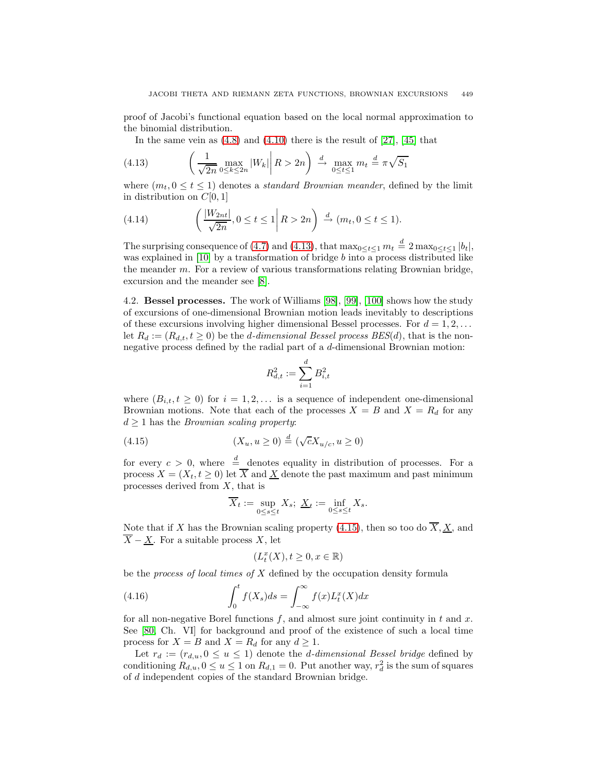proof of Jacobi's functional equation based on the local normal approximation to the binomial distribution.

In the same vein as  $(4.8)$  and  $(4.10)$  there is the result of  $[27]$ ,  $[45]$  that

<span id="page-14-1"></span>(4.13) 
$$
\left(\frac{1}{\sqrt{2n}} \max_{0 \le k \le 2n} |W_k| \middle| R > 2n\right) \stackrel{d}{\to} \max_{0 \le t \le 1} m_t \stackrel{d}{=} \pi \sqrt{S_1}
$$

where  $(m_t, 0 \le t \le 1)$  denotes a *standard Brownian meander*, defined by the limit in distribution on  $C[0, 1]$ 

(4.14) 
$$
\left(\frac{|W_{2nt}|}{\sqrt{2n}}, 0 \le t \le 1 \middle| R > 2n\right) \stackrel{d}{\to} (m_t, 0 \le t \le 1).
$$

The surprising consequence of [\(4.7\)](#page-13-1) and [\(4.13\)](#page-14-1), that  $\max_{0 \le t \le 1} m_t \stackrel{d}{=} 2 \max_{0 \le t \le 1} |b_t|$ , was explained in [\[10\]](#page-27-5) by a transformation of bridge  $b$  into a process distributed like the meander m. For a review of various transformations relating Brownian bridge, excursion and the meander see [\[8\]](#page-27-11).

<span id="page-14-0"></span>4.2. **Bessel processes.** The work of Williams [\[98\]](#page-30-15), [\[99\]](#page-30-16), [\[100\]](#page-30-17) shows how the study of excursions of one-dimensional Brownian motion leads inevitably to descriptions of these excursions involving higher dimensional Bessel processes. For  $d = 1, 2, \ldots$ let  $R_d := (R_{d,t}, t \geq 0)$  be the *d*-dimensional Bessel process BES(*d*), that is the nonnegative process defined by the radial part of a d-dimensional Brownian motion:

$$
R_{d,t}^2:=\sum_{i=1}^d B_{i,t}^2
$$

where  $(B_{i,t}, t \geq 0)$  for  $i = 1, 2, \ldots$  is a sequence of independent one-dimensional Brownian motions. Note that each of the processes  $X = B$  and  $X = R_d$  for any  $d \geq 1$  has the *Brownian scaling property*:

<span id="page-14-2"></span>(4.15) 
$$
(X_u, u \ge 0) \stackrel{d}{=} (\sqrt{c}X_{u/c}, u \ge 0)
$$

for every  $c > 0$ , where  $\stackrel{d}{=}$  denotes equality in distribution of processes. For a process  $X = (X_t, t \geq 0)$  let  $\overline{X}$  and  $\overline{X}$  denote the past maximum and past minimum processes derived from  $X$ , that is

$$
\overline{X}_t := \sup_{0 \le s \le t} X_s; \ \underline{X}_t := \inf_{0 \le s \le t} X_s.
$$

Note that if X has the Brownian scaling property [\(4.15\)](#page-14-2), then so too do  $\overline{X}, \underline{X}$ , and  $\overline{X} - \underline{X}$ . For a suitable process X, let

$$
(L^x_t(X), t\geq 0, x\in \mathbb{R})
$$

<span id="page-14-3"></span>be the *process of local times of*  $X$  defined by the occupation density formula

(4.16) 
$$
\int_0^t f(X_s)ds = \int_{-\infty}^\infty f(x)L_t^x(X)dx
$$

for all non-negative Borel functions  $f$ , and almost sure joint continuity in  $t$  and  $x$ . See [\[80,](#page-30-2) Ch. VI] for background and proof of the existence of such a local time process for  $X = B$  and  $X = R_d$  for any  $d \geq 1$ .

Let  $r_d := (r_{d,u}, 0 \le u \le 1)$  denote the *d*-dimensional Bessel bridge defined by conditioning  $R_{d,u}$ ,  $0 \le u \le 1$  on  $R_{d,1} = 0$ . Put another way,  $r_d^2$  is the sum of squares of d independent copies of the standard Brownian bridge.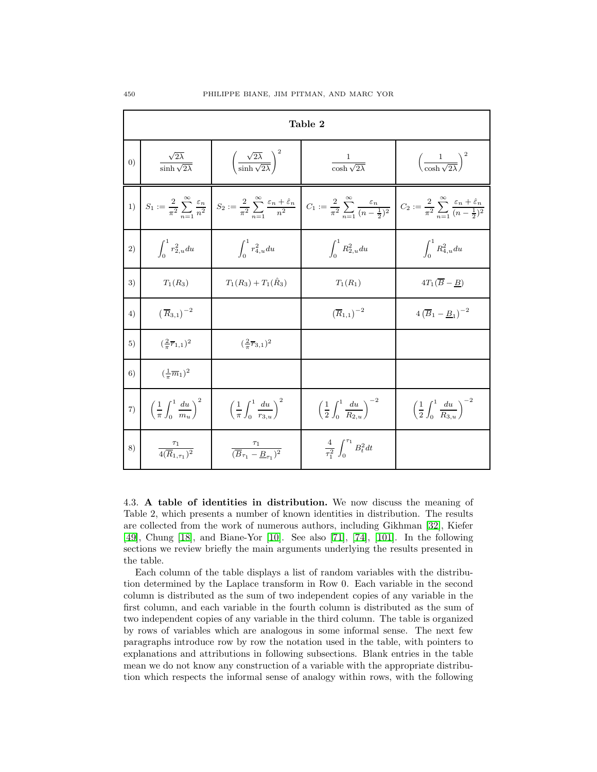| Table 2           |                                                      |                                                                   |                                                                                                                                                                                                                                                                                                                                                                                             |                                                           |  |
|-------------------|------------------------------------------------------|-------------------------------------------------------------------|---------------------------------------------------------------------------------------------------------------------------------------------------------------------------------------------------------------------------------------------------------------------------------------------------------------------------------------------------------------------------------------------|-----------------------------------------------------------|--|
| $\left( 0\right)$ | $\frac{\sqrt{2\lambda}}{\sinh\sqrt{2\lambda}}$       | $\left(\frac{\sqrt{2\lambda}}{\sinh \sqrt{2\lambda}}\right)^2$    | $\frac{1}{\cosh\sqrt{2\lambda}}$                                                                                                                                                                                                                                                                                                                                                            | $\left(\frac{1}{\cosh \sqrt{2\lambda}}\right)^2$          |  |
| 1)                |                                                      |                                                                   | $S_1 := \frac{2}{\pi^2} \sum_{n=1}^{\infty} \frac{\varepsilon_n}{n^2} \left  S_2 := \frac{2}{\pi^2} \sum_{n=1}^{\infty} \frac{\varepsilon_n + \hat{\varepsilon}_n}{n^2} \right  C_1 := \frac{2}{\pi^2} \sum_{n=1}^{\infty} \frac{\varepsilon_n}{(n-\frac{1}{2})^2} \left  C_2 := \frac{2}{\pi^2} \sum_{n=1}^{\infty} \frac{\varepsilon_n + \hat{\varepsilon}_n}{(n-\frac{1}{2})^2} \right $ |                                                           |  |
| 2)                | $\int_{0}^{1} r_{2, u}^{2} du$                       | $\int_{0}^{1} r_{4,u}^{2} du$                                     | $\int_0^1 R_{2,u}^2 du$                                                                                                                                                                                                                                                                                                                                                                     | $\int_{0}^{1} R_{4,u}^{2} du$                             |  |
| 3)                | $T_1(R_3)$                                           | $T_1(R_3) + T_1(\hat{R}_3)$                                       | $T_1(R_1)$                                                                                                                                                                                                                                                                                                                                                                                  | $4T_1(\overline{B}-B)$                                    |  |
| 4)                | $\left(\overline{R}_{3,1}\right)^{-2}$               |                                                                   | $(\overline{R}_{1,1})^{-2}$                                                                                                                                                                                                                                                                                                                                                                 | $4\left(\overline{B}_1 - \underline{B}_1\right)^{-2}$     |  |
| 5)                | $(\frac{2}{\pi}\overline{r}_{1,1})^2$                | $(\frac{2}{\pi}\overline{r}_{3,1})^2$                             |                                                                                                                                                                                                                                                                                                                                                                                             |                                                           |  |
| 6)                | $(\frac{1}{\pi}\overline{m}_1)^2$                    |                                                                   |                                                                                                                                                                                                                                                                                                                                                                                             |                                                           |  |
| 7)                | $\left(\frac{1}{\pi}\int_0^1\frac{du}{m_u}\right)^2$ | $\left(\frac{1}{\pi}\int_0^1\frac{du}{r_{3u}}\right)^2$           | $\left(\frac{1}{2}\int_0^1 \frac{du}{R_{2u}}\right)^{-2}$                                                                                                                                                                                                                                                                                                                                   | $\left(\frac{1}{2}\int_0^1 \frac{du}{R_{3u}}\right)^{-2}$ |  |
| 8)                | $\frac{\tau_1}{4(\overline{R}_{1-\tau_1})^2}$        | $\frac{\tau_1}{(\overline{B}_{\tau_1}-\underline{B}_{\tau_1})^2}$ | $rac{4}{\tau^2}$ $\int_0^{\tau_1} B_t^2 dt$                                                                                                                                                                                                                                                                                                                                                 |                                                           |  |

<span id="page-15-0"></span>4.3. **A table of identities in distribution.** We now discuss the meaning of Table 2, which presents a number of known identities in distribution. The results are collected from the work of numerous authors, including Gikhman [\[32\]](#page-28-12), Kiefer [\[49\]](#page-28-13), Chung [\[18\]](#page-27-3), and Biane-Yor [\[10\]](#page-27-5). See also [\[71\]](#page-29-12), [\[74\]](#page-29-13), [\[101\]](#page-30-18). In the following sections we review briefly the main arguments underlying the results presented in the table.

Each column of the table displays a list of random variables with the distribution determined by the Laplace transform in Row 0. Each variable in the second column is distributed as the sum of two independent copies of any variable in the first column, and each variable in the fourth column is distributed as the sum of two independent copies of any variable in the third column. The table is organized by rows of variables which are analogous in some informal sense. The next few paragraphs introduce row by row the notation used in the table, with pointers to explanations and attributions in following subsections. Blank entries in the table mean we do not know any construction of a variable with the appropriate distribution which respects the informal sense of analogy within rows, with the following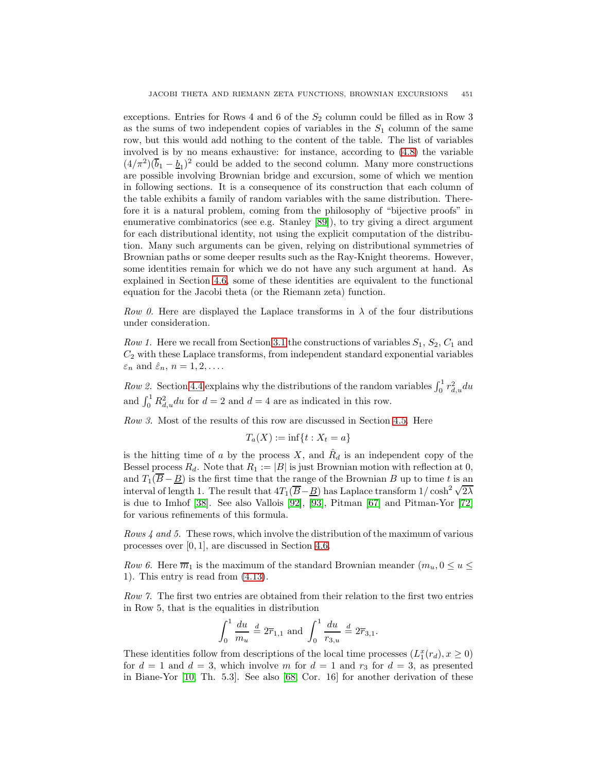exceptions. Entries for Rows 4 and 6 of the  $S_2$  column could be filled as in Row 3 as the sums of two independent copies of variables in the  $S_1$  column of the same row, but this would add nothing to the content of the table. The list of variables involved is by no means exhaustive: for instance, according to [\(4.8\)](#page-13-2) the variable  $(4/\pi^2)(\overline{b}_1 - \underline{b}_1)^2$  could be added to the second column. Many more constructions are possible involving Brownian bridge and excursion, some of which we mention in following sections. It is a consequence of its construction that each column of the table exhibits a family of random variables with the same distribution. Therefore it is a natural problem, coming from the philosophy of "bijective proofs" in enumerative combinatorics (see e.g. Stanley [\[89\]](#page-30-19)), to try giving a direct argument for each distributional identity, not using the explicit computation of the distribution. Many such arguments can be given, relying on distributional symmetries of Brownian paths or some deeper results such as the Ray-Knight theorems. However, some identities remain for which we do not have any such argument at hand. As explained in Section [4.6,](#page-19-0) some of these identities are equivalent to the functional equation for the Jacobi theta (or the Riemann zeta) function.

Row 0. Here are displayed the Laplace transforms in  $\lambda$  of the four distributions under consideration.

Row 1. Here we recall from Section [3.1](#page-6-1) the constructions of variables  $S_1$ ,  $S_2$ ,  $C_1$  and  $C_2$  with these Laplace transforms, from independent standard exponential variables  $\varepsilon_n$  and  $\hat{\varepsilon}_n$ ,  $n = 1, 2, \dots$ .

Row 2. Section [4.4](#page-17-0) explains why the distributions of the random variables  $\int_0^1 r_{d,u}^2 du$ and  $\int_0^1 R_{d,u}^2 du$  for  $d=2$  and  $d=4$  are as indicated in this row.

Row 3. Most of the results of this row are discussed in Section [4.5.](#page-18-0) Here

$$
T_a(X) := \inf\{t : X_t = a\}
$$

is the hitting time of a by the process  $X$ , and  $\ddot{R}_d$  is an independent copy of the Bessel process  $R_d$ . Note that  $R_1 := |B|$  is just Brownian motion with reflection at 0, and  $T_1(\overline{B}-\underline{B})$  is the first time that the range of the Brownian B up to time t is an and  $I_1(B - \underline{B})$  is the first time that the range of the Browman B up to time t is an interval of length 1. The result that  $4T_1(\overline{B}-\underline{B})$  has Laplace transform  $1/\cosh^2 \sqrt{2\lambda}$ is due to Imhof [\[38\]](#page-28-14). See also Vallois [\[92\]](#page-30-20), [\[93\]](#page-30-21), Pitman [\[67\]](#page-29-14) and Pitman-Yor [\[72\]](#page-29-9) for various refinements of this formula.

Rows  $\frac{4}{3}$  and 5. These rows, which involve the distribution of the maximum of various processes over [0, 1], are discussed in Section [4.6.](#page-19-0)

Row 6. Here  $\overline{m}_1$  is the maximum of the standard Brownian meander  $(m_u, 0 \le u \le$ 1). This entry is read from [\(4.13\)](#page-14-1).

Row 7. The first two entries are obtained from their relation to the first two entries in Row 5, that is the equalities in distribution

$$
\int_0^1 \frac{du}{m_u} \stackrel{d}{=} 2\overline{r}_{1,1} \text{ and } \int_0^1 \frac{du}{r_{3,u}} \stackrel{d}{=} 2\overline{r}_{3,1}.
$$

These identities follow from descriptions of the local time processes  $(L_1^x(r_d), x \ge 0)$ for  $d = 1$  and  $d = 3$ , which involve m for  $d = 1$  and  $r_3$  for  $d = 3$ , as presented in Biane-Yor [\[10,](#page-27-5) Th. 5.3]. See also [\[68,](#page-29-15) Cor. 16] for another derivation of these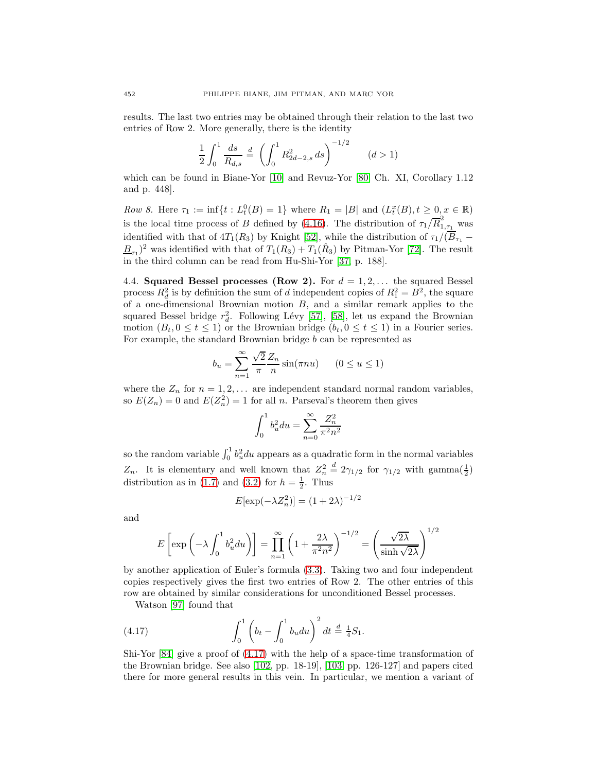results. The last two entries may be obtained through their relation to the last two entries of Row 2. More generally, there is the identity

$$
\frac{1}{2} \int_0^1 \frac{ds}{R_{d,s}} \stackrel{d}{=} \left( \int_0^1 R_{2d-2,s}^2 ds \right)^{-1/2} \qquad (d>1)
$$

which can be found in Biane-Yor [\[10\]](#page-27-5) and Revuz-Yor [\[80,](#page-30-2) Ch. XI, Corollary 1.12 and p. 448].

Row 8. Here  $\tau_1 := \inf\{t : L_t^0(B) = 1\}$  where  $R_1 = |B|$  and  $(L_t^x(B), t \ge 0, x \in \mathbb{R})$ is the local time process of B defined by [\(4.16\)](#page-14-3). The distribution of  $\tau_1/\overline{R}_{1,\tau_1}^2$  was identified with that of  $4T_1(R_3)$  by Knight [\[52\]](#page-28-7), while the distribution of  $\tau_1/(\overline{B}_{\tau_1}$  −  $\underline{B}_{\tau_1}$ <sup>2</sup> was identified with that of  $T_1(R_3) + T_1(\hat{R}_3)$  by Pitman-Yor [\[72\]](#page-29-9). The result in the third column can be read from Hu-Shi-Yor [\[37,](#page-28-15) p. 188].

<span id="page-17-0"></span>4.4. **Squared Bessel processes (Row 2).** For  $d = 1, 2, \ldots$  the squared Bessel process  $R_d^2$  is by definition the sum of d independent copies of  $R_1^2 = B^2$ , the square of a one-dimensional Brownian motion  $B$ , and a similar remark applies to the squared Bessel bridge  $r_d^2$ . Following Lévy [\[57\]](#page-29-16), [\[58\]](#page-29-17), let us expand the Brownian motion  $(B_t, 0 \le t \le 1)$  or the Brownian bridge  $(b_t, 0 \le t \le 1)$  in a Fourier series. For example, the standard Brownian bridge  $b$  can be represented as

$$
b_u = \sum_{n=1}^{\infty} \frac{\sqrt{2}}{\pi} \frac{Z_n}{n} \sin(\pi nu) \qquad (0 \le u \le 1)
$$

where the  $Z_n$  for  $n = 1, 2, \ldots$  are independent standard normal random variables, so  $E(Z_n) = 0$  and  $E(Z_n^2) = 1$  for all n. Parseval's theorem then gives

$$
\int_0^1 b_u^2 du = \sum_{n=0}^\infty \frac{Z_n^2}{\pi^2 n^2}
$$

so the random variable  $\int_0^1 b_u^2 du$  appears as a quadratic form in the normal variables  $Z_n$ . It is elementary and well known that  $Z_n^2$  $\stackrel{d}{=} 2\gamma_{1/2}$  for  $\gamma_{1/2}$  with gamma $(\frac{1}{2})$ distribution as in [\(1.7\)](#page-2-5) and [\(3.2\)](#page-6-3) for  $h = \frac{1}{2}$ . Thus

$$
E[\exp(-\lambda Z_n^2)] = (1 + 2\lambda)^{-1/2}
$$

and

$$
E\left[\exp\left(-\lambda \int_0^1 b_u^2 du\right)\right] = \prod_{n=1}^{\infty} \left(1 + \frac{2\lambda}{\pi^2 n^2}\right)^{-1/2} = \left(\frac{\sqrt{2\lambda}}{\sinh\sqrt{2\lambda}}\right)^{1/2}
$$

by another application of Euler's formula [\(3.3\)](#page-6-4). Taking two and four independent copies respectively gives the first two entries of Row 2. The other entries of this row are obtained by similar considerations for unconditioned Bessel processes.

Watson [\[97\]](#page-30-8) found that

<span id="page-17-1"></span>(4.17) 
$$
\int_0^1 \left(b_t - \int_0^1 b_u du\right)^2 dt \stackrel{d}{=} \frac{1}{4} S_1.
$$

Shi-Yor [\[84\]](#page-30-22) give a proof of [\(4.17\)](#page-17-1) with the help of a space-time transformation of the Brownian bridge. See also [\[102,](#page-30-23) pp. 18-19], [\[103,](#page-30-10) pp. 126-127] and papers cited there for more general results in this vein. In particular, we mention a variant of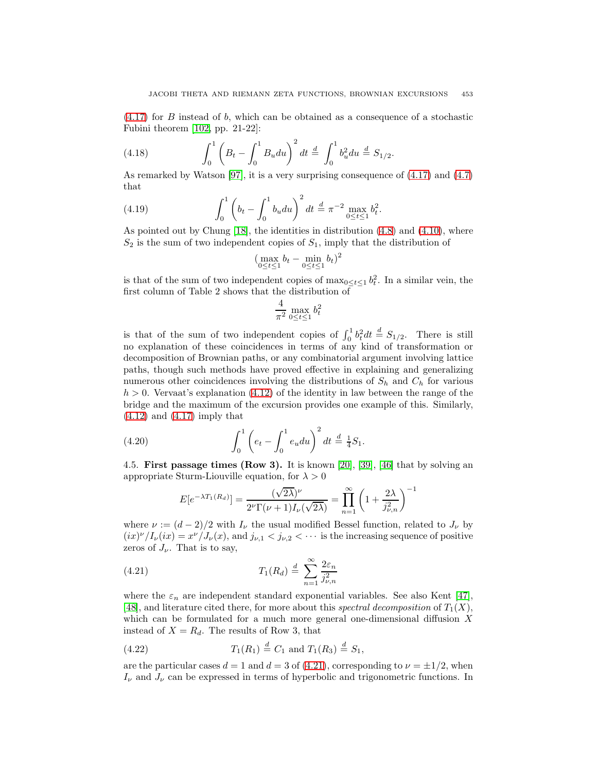[\(4.17\)](#page-17-1) for B instead of b, which can be obtained as a consequence of a stochastic Fubini theorem [\[102,](#page-30-23) pp. 21-22]:

(4.18) 
$$
\int_0^1 \left( B_t - \int_0^1 B_u du \right)^2 dt \stackrel{d}{=} \int_0^1 b_u^2 du \stackrel{d}{=} S_{1/2}.
$$

As remarked by Watson [\[97\]](#page-30-8), it is a very surprising consequence of [\(4.17\)](#page-17-1) and [\(4.7\)](#page-13-1) that

(4.19) 
$$
\int_0^1 \left(b_t - \int_0^1 b_u du\right)^2 dt \stackrel{d}{=} \pi^{-2} \max_{0 \le t \le 1} b_t^2.
$$

As pointed out by Chung [\[18\]](#page-27-3), the identities in distribution [\(4.8\)](#page-13-2) and [\(4.10\)](#page-13-0), where  $S_2$  is the sum of two independent copies of  $S_1$ , imply that the distribution of

$$
(\max_{0\leq t\leq 1}b_t-\min_{0\leq t\leq 1}b_t)^2
$$

is that of the sum of two independent copies of  $\max_{0 \le t \le 1} b_t^2$ . In a similar vein, the first column of Table 2 shows that the distribution of

$$
\frac{4}{\pi^2} \max_{0 \le t \le 1} b_t^2
$$

is that of the sum of two independent copies of  $\int_0^1 b_t^2 dt \stackrel{d}{=} S_{1/2}$ . There is still no explanation of these coincidences in terms of any kind of transformation or decomposition of Brownian paths, or any combinatorial argument involving lattice paths, though such methods have proved effective in explaining and generalizing numerous other coincidences involving the distributions of  $S_h$  and  $C_h$  for various  $h > 0$ . Vervaat's explanation [\(4.12\)](#page-13-3) of the identity in law between the range of the bridge and the maximum of the excursion provides one example of this. Similarly,  $(4.12)$  and  $(4.17)$  imply that

(4.20) 
$$
\int_0^1 \left( e_t - \int_0^1 e_u du \right)^2 dt \stackrel{d}{=} \frac{1}{4} S_1.
$$

<span id="page-18-0"></span>4.5. **First passage times (Row 3).** It is known [\[20\]](#page-27-9), [\[39\]](#page-28-16), [\[46\]](#page-28-17) that by solving an appropriate Sturm-Liouville equation, for  $\lambda > 0$ 

$$
E[e^{-\lambda T_1(R_d)}] = \frac{(\sqrt{2\lambda})^{\nu}}{2^{\nu}\Gamma(\nu+1)I_{\nu}(\sqrt{2\lambda})} = \prod_{n=1}^{\infty} \left(1 + \frac{2\lambda}{j_{\nu,n}^2}\right)^{-1}
$$

where  $\nu := (d-2)/2$  with  $I_{\nu}$  the usual modified Bessel function, related to  $J_{\nu}$  by  $(ix)^{\nu}/I_{\nu}(ix) = x^{\nu}/J_{\nu}(x)$ , and  $j_{\nu,1} < j_{\nu,2} < \cdots$  is the increasing sequence of positive zeros of  $J_{\nu}$ . That is to say,

<span id="page-18-1"></span>(4.21) 
$$
T_1(R_d) \stackrel{d}{=} \sum_{n=1}^{\infty} \frac{2\varepsilon_n}{j_{\nu,n}^2}
$$

where the  $\varepsilon_n$  are independent standard exponential variables. See also Kent [\[47\]](#page-28-18), [\[48\]](#page-28-19), and literature cited there, for more about this spectral decomposition of  $T_1(X)$ , which can be formulated for a much more general one-dimensional diffusion X instead of  $X = R_d$ . The results of Row 3, that

<span id="page-18-2"></span>(4.22) 
$$
T_1(R_1) \stackrel{d}{=} C_1
$$
 and  $T_1(R_3) \stackrel{d}{=} S_1$ ,

are the particular cases  $d = 1$  and  $d = 3$  of [\(4.21\)](#page-18-1), corresponding to  $\nu = \pm 1/2$ , when  $I_{\nu}$  and  $J_{\nu}$  can be expressed in terms of hyperbolic and trigonometric functions. In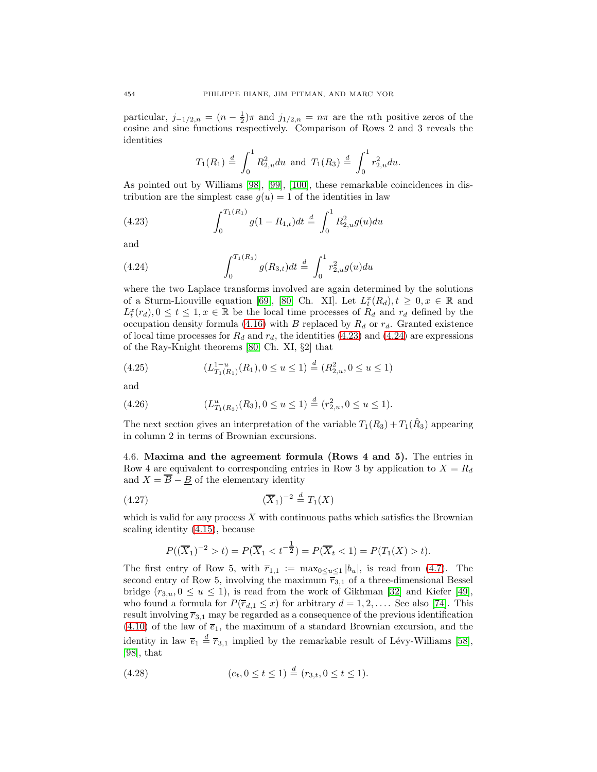particular,  $j_{-1/2,n} = (n - \frac{1}{2})\pi$  and  $j_{1/2,n} = n\pi$  are the nth positive zeros of the cosine and sine functions respectively. Comparison of Rows 2 and 3 reveals the identities

$$
T_1(R_1) \stackrel{d}{=} \int_0^1 R_{2,u}^2 du
$$
 and  $T_1(R_3) \stackrel{d}{=} \int_0^1 r_{2,u}^2 du$ .

As pointed out by Williams [\[98\]](#page-30-15), [\[99\]](#page-30-16), [\[100\]](#page-30-17), these remarkable coincidences in distribution are the simplest case  $g(u) = 1$  of the identities in law

<span id="page-19-1"></span>(4.23) 
$$
\int_0^{T_1(R_1)} g(1 - R_{1,t}) dt \stackrel{d}{=} \int_0^1 R_{2,u}^2 g(u) du
$$

<span id="page-19-2"></span>and

(4.24) 
$$
\int_0^{T_1(R_3)} g(R_{3,t}) dt \stackrel{d}{=} \int_0^1 r_{2,u}^2 g(u) du
$$

where the two Laplace transforms involved are again determined by the solutions of a Sturm-Liouville equation [\[69\]](#page-29-18), [\[80,](#page-30-2) Ch. XI]. Let  $L_t^x(R_d)$ ,  $t \geq 0, x \in \mathbb{R}$  and  $L_t^x(r_d)$ ,  $0 \le t \le 1, x \in \mathbb{R}$  be the local time processes of  $R_d$  and  $r_d$  defined by the occupation density formula [\(4.16\)](#page-14-3) with B replaced by  $R_d$  or  $r_d$ . Granted existence of local time processes for  $R_d$  and  $r_d$ , the identities [\(4.23\)](#page-19-1) and [\(4.24\)](#page-19-2) are expressions of the Ray-Knight theorems [\[80,](#page-30-2) Ch. XI, §2] that

(4.25) 
$$
(L_{T_1(R_1)}^{1-u}(R_1), 0 \le u \le 1) \stackrel{d}{=} (R_{2,u}^2, 0 \le u \le 1)
$$

and

$$
(4.26) \t\t\t (L_{T_1(R_3)}^u(R_3), 0 \le u \le 1) \stackrel{d}{=} (r_{2,u}^2, 0 \le u \le 1).
$$

The next section gives an interpretation of the variable  $T_1(R_3) + T_1(\hat{R}_3)$  appearing in column 2 in terms of Brownian excursions.

<span id="page-19-0"></span>4.6. **Maxima and the agreement formula (Rows 4 and 5).** The entries in Row 4 are equivalent to corresponding entries in Row 3 by application to  $X = R_d$ and  $X = \overline{B} - \underline{B}$  of the elementary identity

$$
(4.27) \t\t (\overline{X}_1)^{-2} \stackrel{d}{=} T_1(X)
$$

which is valid for any process  $X$  with continuous paths which satisfies the Brownian scaling identity [\(4.15\)](#page-14-2), because

$$
P((\overline{X}_1)^{-2} > t) = P(\overline{X}_1 < t^{-\frac{1}{2}}) = P(\overline{X}_t < 1) = P(T_1(X) > t).
$$

The first entry of Row 5, with  $\overline{r}_{1,1} := \max_{0 \le u \le 1} |b_u|$ , is read from [\(4.7\)](#page-13-1). The second entry of Row 5, involving the maximum  $\overline{r}_{3,1}$  of a three-dimensional Bessel bridge  $(r_{3,u}, 0 \le u \le 1)$ , is read from the work of Gikhman [\[32\]](#page-28-12) and Kiefer [\[49\]](#page-28-13), who found a formula for  $P(\overline{r}_{d,1} \leq x)$  for arbitrary  $d = 1, 2, \ldots$ . See also [\[74\]](#page-29-13). This result involving  $\overline{r}_{3,1}$  may be regarded as a consequence of the previous identification [\(4.10\)](#page-13-0) of the law of  $\overline{e}_1$ , the maximum of a standard Brownian excursion, and the identity in law  $\overline{e}_1 \stackrel{d}{=} \overline{r}_{3,1}$  implied by the remarkable result of Lévy-Williams [\[58\]](#page-29-17), [\[98\]](#page-30-15), that

$$
(4.28) \qquad (e_t, 0 \le t \le 1) \stackrel{d}{=} (r_{3,t}, 0 \le t \le 1).
$$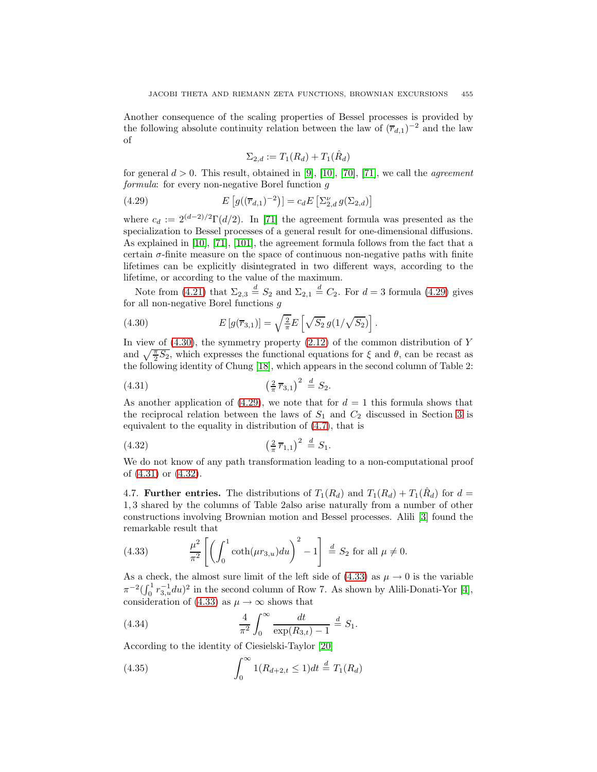Another consequence of the scaling properties of Bessel processes is provided by the following absolute continuity relation between the law of  $(\overline{r}_{d,1})^{-2}$  and the law of

$$
\Sigma_{2,d} := T_1(R_d) + T_1(\hat{R}_d)
$$

<span id="page-20-1"></span>for general  $d > 0$ . This result, obtained in [\[9\]](#page-27-12), [\[10\]](#page-27-5), [\[70\]](#page-29-19), [\[71\]](#page-29-12), we call the *agreement* formula: for every non-negative Borel function q

(4.29) 
$$
E\left[g((\overline{r}_{d,1})^{-2})\right] = c_d E\left[\sum_{2,d}^{\nu} g(\Sigma_{2,d})\right]
$$

where  $c_d := 2^{(d-2)/2} \Gamma(d/2)$ . In [\[71\]](#page-29-12) the agreement formula was presented as the specialization to Bessel processes of a general result for one-dimensional diffusions. As explained in [\[10\]](#page-27-5), [\[71\]](#page-29-12), [\[101\]](#page-30-18), the agreement formula follows from the fact that a certain  $\sigma$ -finite measure on the space of continuous non-negative paths with finite lifetimes can be explicitly disintegrated in two different ways, according to the lifetime, or according to the value of the maximum.

<span id="page-20-2"></span>Note from [\(4.21\)](#page-18-1) that  $\Sigma_{2,3} \stackrel{d}{=} S_2$  and  $\Sigma_{2,1} \stackrel{d}{=} C_2$ . For  $d = 3$  formula [\(4.29\)](#page-20-1) gives for all non-negative Borel functions g

(4.30) 
$$
E[g(\overline{r}_{3,1})] = \sqrt{\frac{2}{\pi}} E\left[\sqrt{S_2} g(1/\sqrt{S_2})\right].
$$

In view of  $(4.30)$ , the symmetry property  $(2.12)$  of the common distribution of Y and  $\sqrt{\frac{\pi}{2}}S_2$ , which expresses the functional equations for  $\xi$  and  $\theta$ , can be recast as the following identity of Chung [\[18\]](#page-27-3), which appears in the second column of Table 2:

<span id="page-20-3"></span>(4.31) 
$$
\left(\frac{2}{\pi}\overline{r}_{3,1}\right)^2 \stackrel{d}{=} S_2.
$$

As another application of [\(4.29\)](#page-20-1), we note that for  $d = 1$  this formula shows that the reciprocal relation between the laws of  $S_1$  and  $C_2$  discussed in Section [3](#page-6-0) is equivalent to the equality in distribution of [\(4.7\)](#page-13-1), that is

<span id="page-20-4"></span>(4.32) 
$$
\left(\frac{2}{\pi}\overline{r}_{1,1}\right)^2 \stackrel{d}{=} S_1.
$$

We do not know of any path transformation leading to a non-computational proof of [\(4.31\)](#page-20-3) or [\(4.32\)](#page-20-4).

<span id="page-20-0"></span>4.7. **Further entries.** The distributions of  $T_1(R_d)$  and  $T_1(R_d) + T_1(\hat{R}_d)$  for  $d =$ 1, 3 shared by the columns of Table 2also arise naturally from a number of other constructions involving Brownian motion and Bessel processes. Alili [\[3\]](#page-27-13) found the remarkable result that

<span id="page-20-5"></span>(4.33) 
$$
\frac{\mu^2}{\pi^2} \left[ \left( \int_0^1 \coth(\mu r_{3,u}) du \right)^2 - 1 \right] \stackrel{d}{=} S_2 \text{ for all } \mu \neq 0.
$$

As a check, the almost sure limit of the left side of  $(4.33)$  as  $\mu \rightarrow 0$  is the variable  $\pi^{-2}\left(\int_0^1 r_{3,u}^{-1} du\right)^2$  in the second column of Row 7. As shown by Alili-Donati-Yor [\[4\]](#page-27-14), consideration of [\(4.33\)](#page-20-5) as  $\mu \to \infty$  shows that

(4.34) 
$$
\frac{4}{\pi^2} \int_0^\infty \frac{dt}{\exp(R_{3,t}) - 1} \stackrel{d}{=} S_1.
$$

According to the identity of Ciesielski-Taylor [\[20\]](#page-27-9)

(4.35) 
$$
\int_0^\infty 1(R_{d+2,t} \le 1) dt \stackrel{d}{=} T_1(R_d)
$$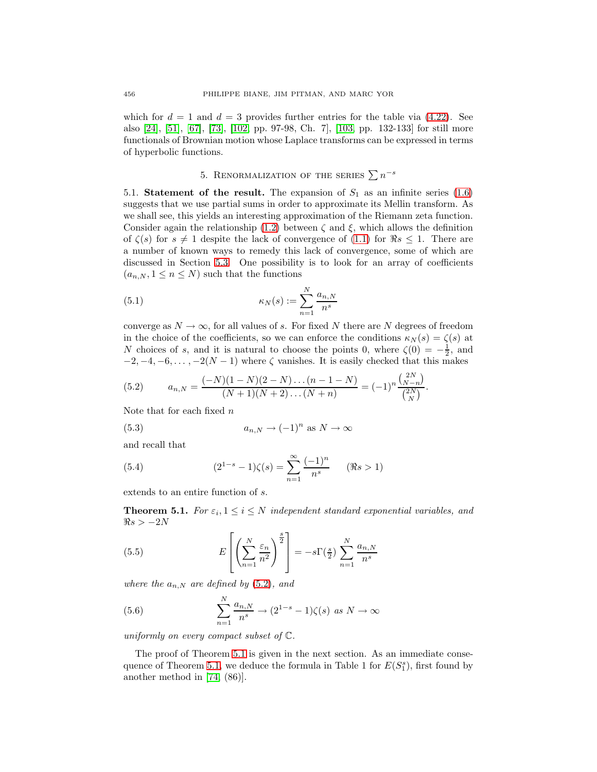which for  $d = 1$  and  $d = 3$  provides further entries for the table via [\(4.22\)](#page-18-2). See also [\[24\]](#page-27-15), [\[51\]](#page-28-20), [\[67\]](#page-29-14), [\[73\]](#page-29-20), [\[102,](#page-30-23) pp. 97-98, Ch. 7], [\[103,](#page-30-10) pp. 132-133] for still more functionals of Brownian motion whose Laplace transforms can be expressed in terms of hyperbolic functions.

# 5. RENORMALIZATION OF THE SERIES  $\sum n^{-s}$

<span id="page-21-1"></span><span id="page-21-0"></span>5.1. **Statement of the result.** The expansion of  $S_1$  as an infinite series  $(1.6)$ suggests that we use partial sums in order to approximate its Mellin transform. As we shall see, this yields an interesting approximation of the Riemann zeta function. Consider again the relationship [\(1.2\)](#page-1-3) between  $\zeta$  and  $\xi$ , which allows the definition of  $\zeta(s)$  for  $s \neq 1$  despite the lack of convergence of [\(1.1\)](#page-1-5) for  $\Re s \leq 1$ . There are a number of known ways to remedy this lack of convergence, some of which are discussed in Section [5.3.](#page-23-0) One possibility is to look for an array of coefficients  $(a_{n,N}, 1 \leq n \leq N)$  such that the functions

<span id="page-21-8"></span>(5.1) 
$$
\kappa_N(s) := \sum_{n=1}^N \frac{a_{n,N}}{n^s}
$$

converge as  $N \to \infty$ , for all values of s. For fixed N there are N degrees of freedom in the choice of the coefficients, so we can enforce the conditions  $\kappa_N(s) = \zeta(s)$  at N choices of s, and it is natural to choose the points 0, where  $\zeta(0) = -\frac{1}{2}$ , and  $-2, -4, -6, \ldots, -2(N-1)$  where  $\zeta$  vanishes. It is easily checked that this makes

<span id="page-21-2"></span>(5.2) 
$$
a_{n,N} = \frac{(-N)(1-N)(2-N)\dots(n-1-N)}{(N+1)(N+2)\dots(N+n)} = (-1)^n \frac{\binom{2N}{N-n}}{\binom{2N}{N}}.
$$

<span id="page-21-6"></span>Note that for each fixed  $n$ 

(5.3) 
$$
a_{n,N} \to (-1)^n \text{ as } N \to \infty
$$

<span id="page-21-7"></span>and recall that

(5.4) 
$$
(2^{1-s}-1)\zeta(s) = \sum_{n=1}^{\infty} \frac{(-1)^n}{n^s} \quad (\Re s > 1)
$$

<span id="page-21-3"></span>extends to an entire function of s.

**Theorem 5.1.** For  $\varepsilon_i$ ,  $1 \leq i \leq N$  independent standard exponential variables, and  $\Re s > -2N$ 

<span id="page-21-4"></span>(5.5) 
$$
E\left[\left(\sum_{n=1}^{N} \frac{\varepsilon_n}{n^2}\right)^{\frac{s}{2}}\right] = -s\Gamma(\frac{s}{2})\sum_{n=1}^{N} \frac{a_{n,N}}{n^s}
$$

<span id="page-21-5"></span>where the  $a_{n,N}$  are defined by [\(5.2\)](#page-21-2), and

(5.6) 
$$
\sum_{n=1}^{N} \frac{a_{n,N}}{n^s} \to (2^{1-s} - 1)\zeta(s) \text{ as } N \to \infty
$$

uniformly on every compact subset of C.

The proof of Theorem [5.1](#page-21-3) is given in the next section. As an immediate conse-quence of Theorem [5.1,](#page-21-3) we deduce the formula in Table 1 for  $E(S_1^s)$ , first found by another method in [\[74,](#page-29-13) (86)].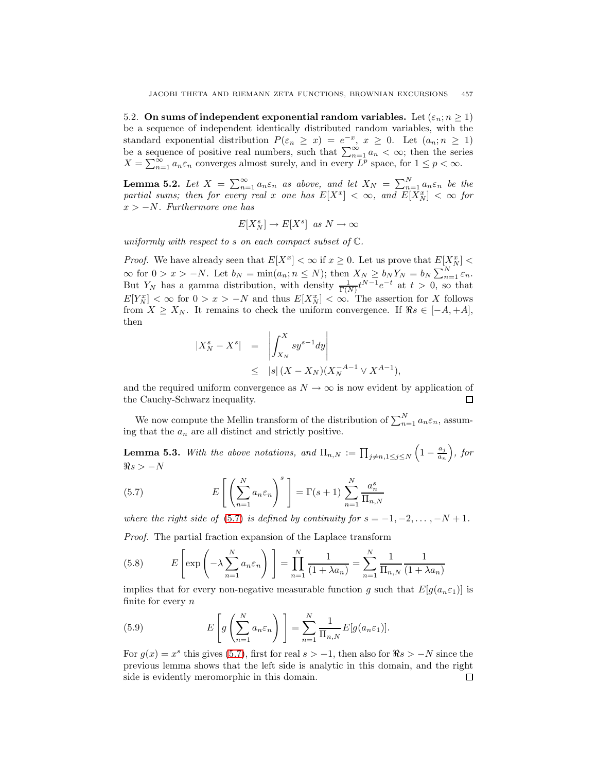<span id="page-22-0"></span>5.2. On sums of independent exponential random variables. Let  $(\varepsilon_n; n \geq 1)$ be a sequence of independent identically distributed random variables, with the standard exponential distribution  $P(\varepsilon_n \geq x) = e^{-x}, x \geq 0$ . Let  $(a_n; n \geq 1)$ be a sequence of positive real numbers, such that  $\sum_{n=1}^{\infty} a_n < \infty$ ; then the series  $X = \sum_{n=1}^{\infty} a_n \varepsilon_n$  converges almost surely, and in every  $L^p$  space, for  $1 \leq p < \infty$ .

<span id="page-22-1"></span>**Lemma 5.2.** Let  $X = \sum_{n=1}^{\infty} a_n \varepsilon_n$  as above, and let  $X_N = \sum_{n=1}^{N} a_n \varepsilon_n$  be the partial sums; then for every real x one has  $E[X^x] < \infty$ , and  $E[X_N^x] < \infty$  for  $x > -N$ . Furthermore one has

$$
E[X_N^s] \to E[X^s] \;\; as \; N \to \infty
$$

uniformly with respect to s on each compact subset of  $\mathbb{C}$ .

*Proof.* We have already seen that  $E[X^x] < \infty$  if  $x \geq 0$ . Let us prove that  $E[X^x] <$  $\infty$  for  $0 > x > -N$ . Let  $b_N = \min(a_n; n \le N)$ ; then  $X_N \ge b_N Y_N = b_N \sum_{n=1}^N \varepsilon_n$ . But Y<sub>N</sub> has a gamma distribution, with density  $\frac{1}{\Gamma(N)} t^{N-1} e^{-t}$  at  $t > 0$ , so that  $E[Y_N^x] < \infty$  for  $0 > x > -N$  and thus  $E[X_N^x] < \infty$ . The assertion for X follows from  $X \geq X_N$ . It remains to check the uniform convergence. If  $\Re s \in [-A, +A],$ then

$$
\begin{array}{rcl}\n|X_N^s - X^s| & = & \left| \int_{X_N}^X s y^{s-1} dy \right| \\
& \leq & |s| \left( X - X_N \right) \left( X_N^{-A-1} \vee X^{A-1} \right),\n\end{array}
$$

and the required uniform convergence as  $N \to \infty$  is now evident by application of the Cauchy-Schwarz inequality. 口

<span id="page-22-3"></span>We now compute the Mellin transform of the distribution of  $\sum_{n=1}^{N} a_n \varepsilon_n$ , assuming that the  $a_n$  are all distinct and strictly positive.

**Lemma 5.3.** With the above notations, and  $\Pi_{n,N} := \prod_{j \neq n,1 \leq j \leq N}$  $\left(1-\frac{a_j}{a_n}\right)$  $\bigg)$ , for  $\Re s > -N$ 

<span id="page-22-2"></span>(5.7) 
$$
E\left[\left(\sum_{n=1}^{N} a_n \varepsilon_n\right)^s\right] = \Gamma(s+1) \sum_{n=1}^{N} \frac{a_n^s}{\Pi_{n,N}}
$$

where the right side of [\(5.7\)](#page-22-2) is defined by continuity for  $s = -1, -2, \ldots, -N+1$ .

Proof. The partial fraction expansion of the Laplace transform

(5.8) 
$$
E\left[\exp\left(-\lambda \sum_{n=1}^{N} a_n \varepsilon_n\right)\right] = \prod_{n=1}^{N} \frac{1}{(1 + \lambda a_n)} = \sum_{n=1}^{N} \frac{1}{\Pi_{n,N}} \frac{1}{(1 + \lambda a_n)}
$$

implies that for every non-negative measurable function g such that  $E[g(a_n \varepsilon_1)]$  is finite for every  $n$ 

(5.9) 
$$
E\left[g\left(\sum_{n=1}^{N}a_n\varepsilon_n\right)\right] = \sum_{n=1}^{N}\frac{1}{\Pi_{n,N}}E[g(a_n\varepsilon_1)].
$$

For  $g(x) = x^s$  this gives [\(5.7\)](#page-22-2), first for real  $s > -1$ , then also for  $\Re s > -N$  since the previous lemma shows that the left side is analytic in this domain, and the right side is evidently meromorphic in this domain. $\Box$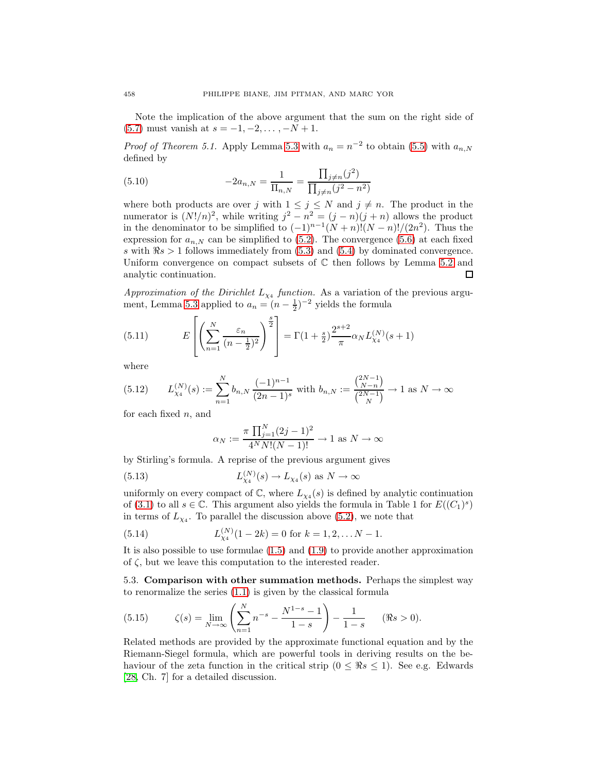Note the implication of the above argument that the sum on the right side of [\(5.7\)](#page-22-2) must vanish at  $s = -1, -2, \ldots, -N + 1$ .

*Proof of Theorem 5.1.* Apply Lemma [5.3](#page-22-3) with  $a_n = n^{-2}$  to obtain [\(5.5\)](#page-21-4) with  $a_{n,N}$ defined by

(5.10) 
$$
-2a_{n,N} = \frac{1}{\Pi_{n,N}} = \frac{\prod_{j\neq n} (j^2)}{\prod_{j\neq n} (j^2 - n^2)}
$$

where both products are over j with  $1 \leq j \leq N$  and  $j \neq n$ . The product in the numerator is  $(N!/n)^2$ , while writing  $j^2 - n^2 = (j - n)(j + n)$  allows the product in the denominator to be simplified to  $(-1)^{n-1}(N+n)!(N-n)!/(2n^2)$ . Thus the expression for  $a_{n,N}$  can be simplified to [\(5.2\)](#page-21-2). The convergence [\(5.6\)](#page-21-5) at each fixed s with  $\Re s > 1$  follows immediately from [\(5.3\)](#page-21-6) and [\(5.4\)](#page-21-7) by dominated convergence. Uniform convergence on compact subsets of  $\mathbb C$  then follows by Lemma [5.2](#page-22-1) and analytic continuation. □

Approximation of the Dirichlet  $L_{\chi_4}$  function. As a variation of the previous argu-ment, Lemma [5.3](#page-22-3) applied to  $a_n = (n - \frac{1}{2})^{-2}$  yields the formula

(5.11) 
$$
E\left[\left(\sum_{n=1}^{N}\frac{\varepsilon_n}{(n-\frac{1}{2})^2}\right)^{\frac{s}{2}}\right] = \Gamma(1+\frac{s}{2})\frac{2^{s+2}}{\pi}\alpha_N L_{\chi_4}^{(N)}(s+1)
$$

where

$$
(5.12) \qquad L_{\chi_4}^{(N)}(s) := \sum_{n=1}^{N} b_{n,N} \, \frac{(-1)^{n-1}}{(2n-1)^s} \text{ with } b_{n,N} := \frac{\binom{2N-1}{N-n}}{\binom{2N-1}{N}} \to 1 \text{ as } N \to \infty
$$

for each fixed  $n$ , and

$$
\alpha_N := \frac{\pi \prod_{j=1}^N (2j-1)^2}{4^N N! (N-1)!} \to 1 \text{ as } N \to \infty
$$

by Stirling's formula. A reprise of the previous argument gives

(5.13) 
$$
L_{\chi_4}^{(N)}(s) \to L_{\chi_4}(s) \text{ as } N \to \infty
$$

uniformly on every compact of  $\mathbb{C}$ , where  $L_{\chi_4}(s)$  is defined by analytic continuation of [\(3.1\)](#page-6-2) to all  $s \in \mathbb{C}$ . This argument also yields the formula in Table 1 for  $E((C_1)^s)$ in terms of  $L_{\chi_4}$ . To parallel the discussion above [\(5.2\)](#page-21-2), we note that

(5.14) 
$$
L_{\chi_4}^{(N)}(1-2k) = 0 \text{ for } k = 1, 2, \dots N-1.
$$

It is also possible to use formulae [\(1.5\)](#page-1-1) and [\(1.9\)](#page-2-6) to provide another approximation of  $\zeta$ , but we leave this computation to the interested reader.

<span id="page-23-0"></span>5.3. **Comparison with other summation methods.** Perhaps the simplest way to renormalize the series [\(1.1\)](#page-1-5) is given by the classical formula

(5.15) 
$$
\zeta(s) = \lim_{N \to \infty} \left( \sum_{n=1}^{N} n^{-s} - \frac{N^{1-s} - 1}{1-s} \right) - \frac{1}{1-s} \quad (\Re s > 0).
$$

Related methods are provided by the approximate functional equation and by the Riemann-Siegel formula, which are powerful tools in deriving results on the behaviour of the zeta function in the critical strip  $(0 \leq \Re s \leq 1)$ . See e.g. Edwards [\[28,](#page-28-4) Ch. 7] for a detailed discussion.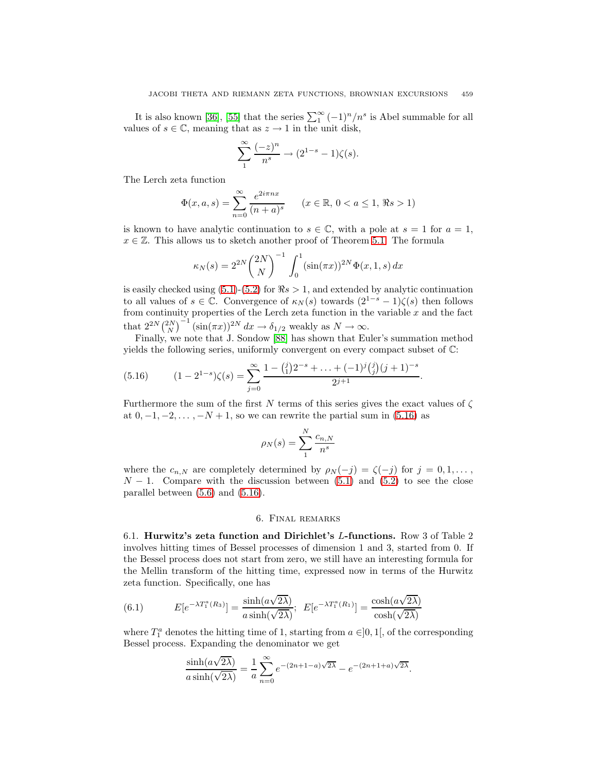It is also known [\[36\]](#page-28-21), [\[55\]](#page-29-21) that the series  $\sum_{1}^{\infty} (-1)^n/n^s$  is Abel summable for all values of  $s \in \mathbb{C}$ , meaning that as  $z \to 1$  in the unit disk,

$$
\sum_{1}^{\infty} \frac{(-z)^n}{n^s} \to (2^{1-s} - 1)\zeta(s).
$$

The Lerch zeta function

$$
\Phi(x, a, s) = \sum_{n=0}^{\infty} \frac{e^{2i\pi nx}}{(n+a)^s} \qquad (x \in \mathbb{R}, 0 < a \le 1, \, \Re s > 1)
$$

is known to have analytic continuation to  $s \in \mathbb{C}$ , with a pole at  $s = 1$  for  $a = 1$ ,  $x \in \mathbb{Z}$ . This allows us to sketch another proof of Theorem [5.1.](#page-21-3) The formula

$$
\kappa_N(s) = 2^{2N} \binom{2N}{N}^{-1} \int_0^1 (\sin(\pi x))^{2N} \Phi(x, 1, s) dx
$$

is easily checked using  $(5.1)-(5.2)$  $(5.1)-(5.2)$  $(5.1)-(5.2)$  for  $\Re s > 1$ , and extended by analytic continuation to all values of  $s \in \mathbb{C}$ . Convergence of  $\kappa_N(s)$  towards  $(2^{1-s}-1)\zeta(s)$  then follows from continuity properties of the Lerch zeta function in the variable  $x$  and the fact that  $2^{2N} {2N \choose N}^{-1} (\sin(\pi x))^{2N} dx \to \delta_{1/2}$  weakly as  $N \to \infty$ .

Finally, we note that J. Sondow [\[88\]](#page-30-5) has shown that Euler's summation method yields the following series, uniformly convergent on every compact subset of C:

<span id="page-24-2"></span>
$$
(5.16) \qquad (1-2^{1-s})\zeta(s) = \sum_{j=0}^{\infty} \frac{1 - {j \choose 1} 2^{-s} + \ldots + (-1)^j {j \choose j} (j+1)^{-s}}{2^{j+1}}.
$$

Furthermore the sum of the first N terms of this series gives the exact values of  $\zeta$ at  $0, -1, -2, \ldots, -N+1$ , so we can rewrite the partial sum in [\(5.16\)](#page-24-2) as

$$
\rho_N(s) = \sum_{1}^{N} \frac{c_{n,N}}{n^s}
$$

where the  $c_{n,N}$  are completely determined by  $\rho_N(-j) = \zeta(-j)$  for  $j = 0, 1, \ldots$ ,  $N-1$ . Compare with the discussion between [\(5.1\)](#page-21-8) and [\(5.2\)](#page-21-2) to see the close parallel between [\(5.6\)](#page-21-5) and [\(5.16\)](#page-24-2).

#### 6. Final remarks

<span id="page-24-1"></span><span id="page-24-0"></span>6.1. **Hurwitz's zeta function and Dirichlet's** L**-functions.** Row 3 of Table 2 involves hitting times of Bessel processes of dimension 1 and 3, started from 0. If the Bessel process does not start from zero, we still have an interesting formula for the Mellin transform of the hitting time, expressed now in terms of the Hurwitz zeta function. Specifically, one has

(6.1) 
$$
E[e^{-\lambda T_1^a(R_3)}] = \frac{\sinh(a\sqrt{2\lambda})}{a\sinh(\sqrt{2\lambda})}; \ \ E[e^{-\lambda T_1^a(R_1)}] = \frac{\cosh(a\sqrt{2\lambda})}{\cosh(\sqrt{2\lambda})}
$$

where  $T_1^a$  denotes the hitting time of 1, starting from  $a \in ]0,1[$ , of the corresponding Bessel process. Expanding the denominator we get

$$
\frac{\sinh(a\sqrt{2\lambda})}{a\sinh(\sqrt{2\lambda})} = \frac{1}{a}\sum_{n=0}^{\infty}e^{-(2n+1-a)\sqrt{2\lambda}} - e^{-(2n+1+a)\sqrt{2\lambda}}.
$$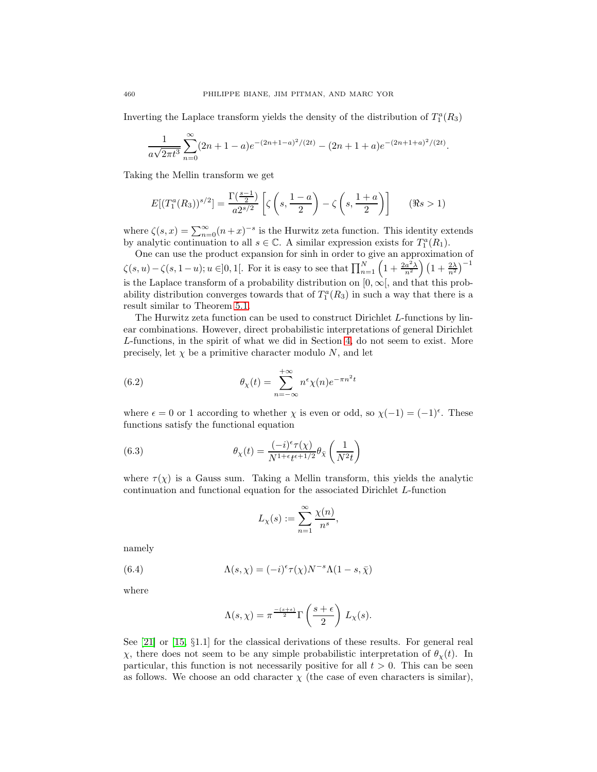Inverting the Laplace transform yields the density of the distribution of  $T_1^a(R_3)$ 

$$
\frac{1}{a\sqrt{2\pi t^3}}\sum_{n=0}^{\infty}(2n+1-a)e^{-(2n+1-a)^2/(2t)}-(2n+1+a)e^{-(2n+1+a)^2/(2t)}.
$$

Taking the Mellin transform we get

$$
E[(T_1^a(R_3))^{s/2}] = \frac{\Gamma(\frac{s-1}{2})}{a2^{s/2}} \left[ \zeta\left(s, \frac{1-a}{2}\right) - \zeta\left(s, \frac{1+a}{2}\right) \right] \qquad (\Re s > 1)
$$

where  $\zeta(s,x) = \sum_{n=0}^{\infty} (n+x)^{-s}$  is the Hurwitz zeta function. This identity extends by analytic continuation to all  $s \in \mathbb{C}$ . A similar expression exists for  $T_1^a(R_1)$ .

One can use the product expansion for sinh in order to give an approximation of  $\zeta(s, u) - \zeta(s, 1-u); u \in ]0, 1[$ . For it is easy to see that  $\prod_{n=1}^{N} \left(1 + \frac{2a^2}{n^2}\right) \left(1 + \frac{2\lambda}{n^2}\right)^{-1}$ is the Laplace transform of a probability distribution on  $[0, \infty)$ , and that this probability distribution converges towards that of  $T_1^a(R_3)$  in such a way that there is a result similar to Theorem [5.1.](#page-21-3)

The Hurwitz zeta function can be used to construct Dirichlet L-functions by linear combinations. However, direct probabilistic interpretations of general Dirichlet L-functions, in the spirit of what we did in Section [4,](#page-11-1) do not seem to exist. More precisely, let  $\chi$  be a primitive character modulo N, and let

<span id="page-25-2"></span>(6.2) 
$$
\theta_{\chi}(t) = \sum_{n=-\infty}^{+\infty} n^{\epsilon} \chi(n) e^{-\pi n^2 t}
$$

where  $\epsilon = 0$  or 1 according to whether  $\chi$  is even or odd, so  $\chi(-1) = (-1)^{\epsilon}$ . These functions satisfy the functional equation

<span id="page-25-0"></span>(6.3) 
$$
\theta_{\chi}(t) = \frac{(-i)^{\epsilon} \tau(\chi)}{N^{1+\epsilon} t^{\epsilon+1/2}} \theta_{\bar{\chi}} \left(\frac{1}{N^2 t}\right)
$$

where  $\tau(\chi)$  is a Gauss sum. Taking a Mellin transform, this yields the analytic continuation and functional equation for the associated Dirichlet L-function

$$
L_{\chi}(s) := \sum_{n=1}^{\infty} \frac{\chi(n)}{n^s},
$$

<span id="page-25-1"></span>namely

(6.4) 
$$
\Lambda(s,\chi) = (-i)^{\epsilon} \tau(\chi) N^{-s} \Lambda(1-s,\bar{\chi})
$$

where

$$
\Lambda(s,\chi) = \pi^{\frac{-(s+\epsilon)}{2}} \Gamma\left(\frac{s+\epsilon}{2}\right) L_{\chi}(s).
$$

See [\[21\]](#page-27-16) or [\[15,](#page-27-17) §1.1] for the classical derivations of these results. For general real χ, there does not seem to be any simple probabilistic interpretation of  $θ_χ(t)$ . In particular, this function is not necessarily positive for all  $t > 0$ . This can be seen as follows. We choose an odd character  $\chi$  (the case of even characters is similar),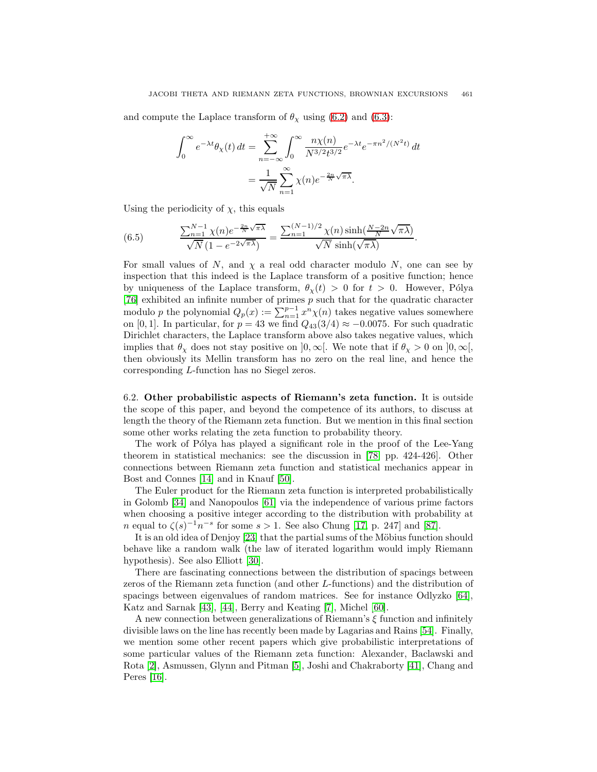and compute the Laplace transform of  $\theta_{\chi}$  using [\(6.2\)](#page-25-2) and [\(6.3\)](#page-25-0):

$$
\int_0^\infty e^{-\lambda t} \theta_\chi(t) dt = \sum_{n=-\infty}^{+\infty} \int_0^\infty \frac{n \chi(n)}{N^{3/2} t^{3/2}} e^{-\lambda t} e^{-\pi n^2/(N^2 t)} dt
$$

$$
= \frac{1}{\sqrt{N}} \sum_{n=1}^\infty \chi(n) e^{-\frac{2n}{N} \sqrt{\pi \lambda}}.
$$

Using the periodicity of  $\chi$ , this equals

(6.5) 
$$
\frac{\sum_{n=1}^{N-1} \chi(n) e^{-\frac{2n}{N} \sqrt{\pi \lambda}}}{\sqrt{N} (1 - e^{-2\sqrt{\pi \lambda}})} = \frac{\sum_{n=1}^{(N-1)/2} \chi(n) \sinh(\frac{N-2n}{N} \sqrt{\pi \lambda})}{\sqrt{N} \sinh(\sqrt{\pi \lambda})}.
$$

For small values of N, and  $\chi$  a real odd character modulo N, one can see by inspection that this indeed is the Laplace transform of a positive function; hence by uniqueness of the Laplace transform,  $\theta_{\chi}(t) > 0$  for  $t > 0$ . However, Pólya [\[76\]](#page-29-22) exhibited an infinite number of primes p such that for the quadratic character modulo p the polynomial  $Q_p(x) := \sum_{n=1}^{p-1} x^n \chi(n)$  takes negative values somewhere on [0, 1]. In particular, for  $p = 43$  we find  $Q_{43}(3/4) \approx -0.0075$ . For such quadratic Dirichlet characters, the Laplace transform above also takes negative values, which implies that  $\theta_{\chi}$  does not stay positive on  $]0, \infty[$ . We note that if  $\theta_{\chi} > 0$  on  $]0, \infty[$ , then obviously its Mellin transform has no zero on the real line, and hence the corresponding L-function has no Siegel zeros.

<span id="page-26-0"></span>6.2. **Other probabilistic aspects of Riemann's zeta function.** It is outside the scope of this paper, and beyond the competence of its authors, to discuss at length the theory of the Riemann zeta function. But we mention in this final section some other works relating the zeta function to probability theory.

The work of Pólya has played a significant role in the proof of the Lee-Yang theorem in statistical mechanics: see the discussion in [\[78,](#page-29-3) pp. 424-426]. Other connections between Riemann zeta function and statistical mechanics appear in Bost and Connes [\[14\]](#page-27-18) and in Knauf [\[50\]](#page-28-22).

The Euler product for the Riemann zeta function is interpreted probabilistically in Golomb [\[34\]](#page-28-23) and Nanopoulos [\[61\]](#page-29-23) via the independence of various prime factors when choosing a positive integer according to the distribution with probability at n equal to  $\zeta(s)^{-1}n^{-s}$  for some  $s > 1$ . See also Chung [\[17,](#page-27-19) p. 247] and [\[87\]](#page-30-6).

It is an old idea of Denjoy  $[23]$  that the partial sums of the Möbius function should behave like a random walk (the law of iterated logarithm would imply Riemann hypothesis). See also Elliott [\[30\]](#page-28-24).

There are fascinating connections between the distribution of spacings between zeros of the Riemann zeta function (and other L-functions) and the distribution of spacings between eigenvalues of random matrices. See for instance Odlyzko [\[64\]](#page-29-24), Katz and Sarnak [\[43\]](#page-28-25), [\[44\]](#page-28-26), Berry and Keating [\[7\]](#page-27-21), Michel [\[60\]](#page-29-25).

A new connection between generalizations of Riemann's  $\xi$  function and infinitely divisible laws on the line has recently been made by Lagarias and Rains [\[54\]](#page-29-26). Finally, we mention some other recent papers which give probabilistic interpretations of some particular values of the Riemann zeta function: Alexander, Baclawski and Rota [\[2\]](#page-27-22), Asmussen, Glynn and Pitman [\[5\]](#page-27-23), Joshi and Chakraborty [\[41\]](#page-28-27), Chang and Peres [\[16\]](#page-27-24).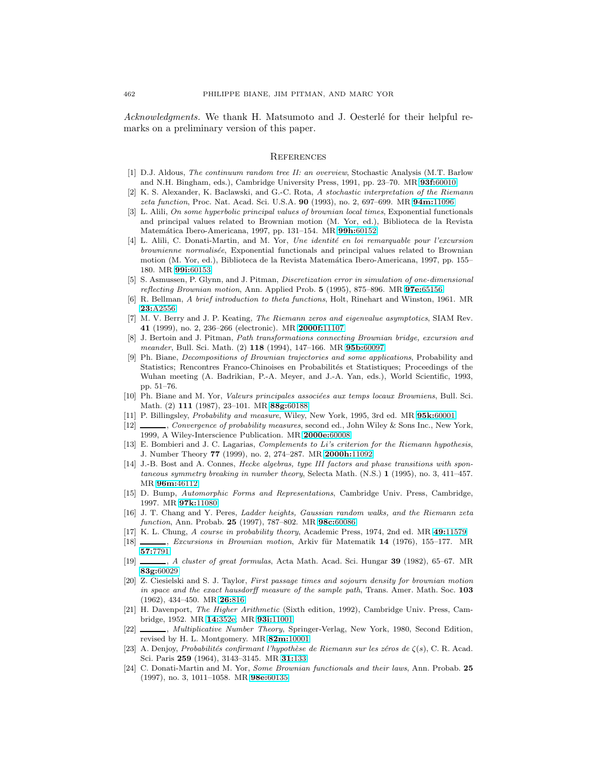Acknowledgments. We thank H. Matsumoto and J. Oesterlé for their helpful remarks on a preliminary version of this paper.

#### **REFERENCES**

- <span id="page-27-4"></span><span id="page-27-0"></span>[1] D.J. Aldous, The continuum random tree II: an overview, Stochastic Analysis (M.T. Barlow and N.H. Bingham, eds.), Cambridge University Press, 1991, pp. 23–70. MR **93f:**[60010](http://www.ams.org/mathscinet-getitem?mr=93f:60010)
- <span id="page-27-22"></span>[2] K. S. Alexander, K. Baclawski, and G.-C. Rota, A stochastic interpretation of the Riemann zeta function, Proc. Nat. Acad. Sci. U.S.A. **90** (1993), no. 2, 697–699. MR **94m:**[11096](http://www.ams.org/mathscinet-getitem?mr=94m:11096)
- <span id="page-27-13"></span>[3] L. Alili, On some hyperbolic principal values of brownian local times, Exponential functionals and principal values related to Brownian motion (M. Yor, ed.), Biblioteca de la Revista Matem´atica Ibero-Americana, 1997, pp. 131–154. MR **99h:**[60152](http://www.ams.org/mathscinet-getitem?mr=99h:60152)
- <span id="page-27-14"></span>[4] L. Alili, C. Donati-Martin, and M. Yor, Une identité en loi remarquable pour l'excursion brownienne normalisée, Exponential functionals and principal values related to Brownian motion (M. Yor, ed.), Biblioteca de la Revista Matemática Ibero-Americana, 1997, pp. 155– 180. MR **99i:**[60153](http://www.ams.org/mathscinet-getitem?mr=99i:60153)
- <span id="page-27-23"></span>[5] S. Asmussen, P. Glynn, and J. Pitman, Discretization error in simulation of one-dimensional reflecting Brownian motion, Ann. Applied Prob. **5** (1995), 875–896. MR **97e:**[65156](http://www.ams.org/mathscinet-getitem?mr=97e:65156)
- <span id="page-27-2"></span>[6] R. Bellman, A brief introduction to theta functions, Holt, Rinehart and Winston, 1961. MR **23:**[A2556](http://www.ams.org/mathscinet-getitem?mr=23:A2556)
- <span id="page-27-21"></span>[7] M. V. Berry and J. P. Keating, The Riemann zeros and eigenvalue asymptotics, SIAM Rev. **41** (1999), no. 2, 236–266 (electronic). MR **[2000f:](http://www.ams.org/mathscinet-getitem?mr=2000f:11107)**11107
- <span id="page-27-11"></span>[8] J. Bertoin and J. Pitman, Path transformations connecting Brownian bridge, excursion and meander, Bull. Sci. Math. (2) **118** (1994), 147–166. MR **95b:**[60097](http://www.ams.org/mathscinet-getitem?mr=95b:60097)
- <span id="page-27-12"></span>[9] Ph. Biane, Decompositions of Brownian trajectories and some applications, Probability and Statistics; Rencontres Franco-Chinoises en Probabilités et Statistiques; Proceedings of the Wuhan meeting (A. Badrikian, P.-A. Meyer, and J.-A. Yan, eds.), World Scientific, 1993, pp. 51–76.
- <span id="page-27-5"></span>[10] Ph. Biane and M. Yor, Valeurs principales associées aux temps locaux Browniens, Bull. Sci. Math. (2) **111** (1987), 23–101. MR **88g:**[60188](http://www.ams.org/mathscinet-getitem?mr=88g:60188)
- <span id="page-27-10"></span><span id="page-27-1"></span>[11] P. Billingsley, Probability and measure, Wiley, New York, 1995, 3rd ed. MR **95k:**[60001](http://www.ams.org/mathscinet-getitem?mr=95k:60001)
- [12] , Convergence of probability measures, second ed., John Wiley & Sons Inc., New York, 1999, A Wiley-Interscience Publication. MR **[2000e:](http://www.ams.org/mathscinet-getitem?mr=2000e:60008)**60008
- <span id="page-27-7"></span>[13] E. Bombieri and J. C. Lagarias, *Complements to Li's criterion for the Riemann hypothesis*, J. Number Theory **77** (1999), no. 2, 274–287. MR **[2000h:](http://www.ams.org/mathscinet-getitem?mr=2000h:11092)**11092
- <span id="page-27-18"></span>[14] J.-B. Bost and A. Connes, *Hecke algebras, type III factors and phase transitions with spon*taneous symmetry breaking in number theory, Selecta Math. (N.S.) **1** (1995), no. 3, 411–457. MR **96m:**[46112](http://www.ams.org/mathscinet-getitem?mr=96m:46112)
- <span id="page-27-17"></span>[15] D. Bump, Automorphic Forms and Representations, Cambridge Univ. Press, Cambridge, 1997. MR **97k:**[11080](http://www.ams.org/mathscinet-getitem?mr=97k:11080)
- <span id="page-27-24"></span>[16] J. T. Chang and Y. Peres, Ladder heights, Gaussian random walks, and the Riemann zeta function, Ann. Probab. **25** (1997), 787–802. MR **98c:**[60086](http://www.ams.org/mathscinet-getitem?mr=98c:60086)
- <span id="page-27-19"></span><span id="page-27-3"></span>[17] K. L. Chung, A course in probability theory, Academic Press, 1974, 2nd ed. MR **49:**[11579](http://www.ams.org/mathscinet-getitem?mr=49:11579)
- [18] , Excursions in Brownian motion, Arkiv für Matematik **14** (1976), 155–177. MR **57:**[7791](http://www.ams.org/mathscinet-getitem?mr=57:7791)
- <span id="page-27-8"></span>[19] , A cluster of great formulas, Acta Math. Acad. Sci. Hungar **39** (1982), 65–67. MR **83g:**[60029](http://www.ams.org/mathscinet-getitem?mr=83g:60029)
- <span id="page-27-9"></span>[20] Z. Ciesielski and S. J. Taylor, First passage times and sojourn density for brownian motion in space and the exact hausdorff measure of the sample path, Trans. Amer. Math. Soc. **103** (1962), 434–450. MR **26:**[816](http://www.ams.org/mathscinet-getitem?mr=26:816)
- <span id="page-27-16"></span>[21] H. Davenport, The Higher Arithmetic (Sixth edition, 1992), Cambridge Univ. Press, Cambridge, 1952. MR **14:**[352e;](http://www.ams.org/mathscinet-getitem?mr=14:352e) MR **93i:**[11001](http://www.ams.org/mathscinet-getitem?mr=93i:11001)
- <span id="page-27-6"></span>[22] , Multiplicative Number Theory, Springer-Verlag, New York, 1980, Second Edition, revised by H. L. Montgomery. MR **82m:**[10001](http://www.ams.org/mathscinet-getitem?mr=82m:10001)
- <span id="page-27-20"></span>[23] A. Denjoy, Probabilités confirmant l'hypothèse de Riemann sur les zéros de  $\zeta(s)$ , C. R. Acad. Sci. Paris **259** (1964), 3143–3145. MR **31:**[133](http://www.ams.org/mathscinet-getitem?mr=31:133)
- <span id="page-27-15"></span>[24] C. Donati-Martin and M. Yor, Some Brownian functionals and their laws, Ann. Probab. **25** (1997), no. 3, 1011–1058. MR **98e:**[60135](http://www.ams.org/mathscinet-getitem?mr=98e:60135)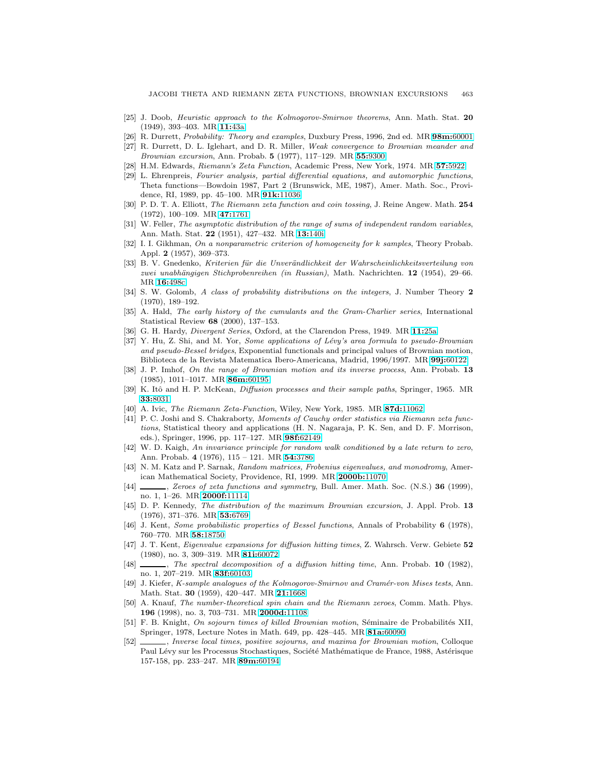- <span id="page-28-8"></span>[25] J. Doob, Heuristic approach to the Kolmogorov-Smirnov theorems, Ann. Math. Stat. **20** (1949), 393–403. MR **11:**[43a](http://www.ams.org/mathscinet-getitem?mr=11:43a)
- <span id="page-28-10"></span><span id="page-28-2"></span>[26] R. Durrett, Probability: Theory and examples, Duxbury Press, 1996, 2nd ed. MR **98m:**[60001](http://www.ams.org/mathscinet-getitem?mr=98m:60001)
- [27] R. Durrett, D. L. Iglehart, and D. R. Miller, Weak convergence to Brownian meander and Brownian excursion, Ann. Probab. **5** (1977), 117–129. MR **55:**[9300](http://www.ams.org/mathscinet-getitem?mr=55:9300)
- <span id="page-28-6"></span><span id="page-28-4"></span>[28] H.M. Edwards, Riemann's Zeta Function, Academic Press, New York, 1974. MR **57:**[5922](http://www.ams.org/mathscinet-getitem?mr=57:5922)
- [29] L. Ehrenpreis, Fourier analysis, partial differential equations, and automorphic functions, Theta functions—Bowdoin 1987, Part 2 (Brunswick, ME, 1987), Amer. Math. Soc., Providence, RI, 1989, pp. 45–100. MR **91k:**[11036](http://www.ams.org/mathscinet-getitem?mr=91k:11036)
- <span id="page-28-24"></span>[30] P. D. T. A. Elliott, The Riemann zeta function and coin tossing, J. Reine Angew. Math. **254** (1972), 100–109. MR **47:**[1761](http://www.ams.org/mathscinet-getitem?mr=47:1761)
- <span id="page-28-0"></span>[31] W. Feller, The asymptotic distribution of the range of sums of independent random variables, Ann. Math. Stat. **22** (1951), 427–432. MR **13:**[140i](http://www.ams.org/mathscinet-getitem?mr=13:140i)
- <span id="page-28-12"></span>[32] I. I. Gikhman, On a nonparametric criterion of homogeneity for k samples, Theory Probab. Appl. **2** (1957), 369–373.
- <span id="page-28-1"></span>[33] B. V. Gnedenko, Kriterien für die Unverändlichkeit der Wahrscheinlichkeitsverteilung von zwei unabhängigen Stichprobenreihen (in Russian), Math. Nachrichten. **12** (1954), 29–66. MR **16:**[498c](http://www.ams.org/mathscinet-getitem?mr=16:498c)
- <span id="page-28-23"></span>[34] S. W. Golomb, A class of probability distributions on the integers, J. Number Theory **2** (1970), 189–192.
- <span id="page-28-5"></span>[35] A. Hald, The early history of the cumulants and the Gram-Charlier series, International Statistical Review **68** (2000), 137–153.
- <span id="page-28-21"></span><span id="page-28-15"></span>[36] G. H. Hardy, Divergent Series, Oxford, at the Clarendon Press, 1949. MR **11:**[25a](http://www.ams.org/mathscinet-getitem?mr=11:25a)
- [37] Y. Hu, Z. Shi, and M. Yor, Some applications of Lévy's area formula to pseudo-Brownian and pseudo-Bessel bridges, Exponential functionals and principal values of Brownian motion, Biblioteca de la Revista Matematica Ibero-Americana, Madrid, 1996/1997. MR **99j:**[60122](http://www.ams.org/mathscinet-getitem?mr=99j:60122)
- <span id="page-28-14"></span>[38] J. P. Imhof, On the range of Brownian motion and its inverse process, Ann. Probab. **13** (1985), 1011–1017. MR **86m:**[60195](http://www.ams.org/mathscinet-getitem?mr=86m:60195)
- <span id="page-28-16"></span>[39] K. Itô and H. P. McKean, *Diffusion processes and their sample paths*, Springer, 1965. MR **33:**[8031](http://www.ams.org/mathscinet-getitem?mr=33:8031)
- <span id="page-28-27"></span><span id="page-28-3"></span>[40] A. Ivic, The Riemann Zeta-Function, Wiley, New York, 1985. MR **87d:**[11062](http://www.ams.org/mathscinet-getitem?mr=87d:11062)
- [41] P. C. Joshi and S. Chakraborty, Moments of Cauchy order statistics via Riemann zeta functions, Statistical theory and applications (H. N. Nagaraja, P. K. Sen, and D. F. Morrison, eds.), Springer, 1996, pp. 117–127. MR **98f:**[62149](http://www.ams.org/mathscinet-getitem?mr=98f:62149)
- <span id="page-28-11"></span>[42] W. D. Kaigh, An invariance principle for random walk conditioned by a late return to zero, Ann. Probab. **4** (1976), 115 – 121. MR **54:**[3786](http://www.ams.org/mathscinet-getitem?mr=54:3786)
- <span id="page-28-25"></span>[43] N. M. Katz and P. Sarnak, Random matrices, Frobenius eigenvalues, and monodromy, American Mathematical Society, Providence, RI, 1999. MR **[2000b:](http://www.ams.org/mathscinet-getitem?mr=2000b:11070)**11070
- <span id="page-28-26"></span>[44] , Zeroes of zeta functions and symmetry, Bull. Amer. Math. Soc. (N.S.) **36** (1999), no. 1, 1–26. MR **[2000f:](http://www.ams.org/mathscinet-getitem?mr=2000f:11114)**11114
- <span id="page-28-9"></span>[45] D. P. Kennedy, The distribution of the maximum Brownian excursion, J. Appl. Prob. **13** (1976), 371–376. MR **53:**[6769](http://www.ams.org/mathscinet-getitem?mr=53:6769)
- <span id="page-28-17"></span>[46] J. Kent, Some probabilistic properties of Bessel functions, Annals of Probability **6** (1978), 760–770. MR **58:**[18750](http://www.ams.org/mathscinet-getitem?mr=58:18750)
- <span id="page-28-18"></span>[47] J. T. Kent, Eigenvalue expansions for diffusion hitting times, Z. Wahrsch. Verw. Gebiete **52** (1980), no. 3, 309–319. MR **81i:**[60072](http://www.ams.org/mathscinet-getitem?mr=81i:60072)
- <span id="page-28-19"></span>[48] , The spectral decomposition of a diffusion hitting time, Ann. Probab. **10** (1982), no. 1, 207–219. MR **83f:**[60103](http://www.ams.org/mathscinet-getitem?mr=83f:60103)
- <span id="page-28-13"></span>[49] J. Kiefer, K-sample analogues of the Kolmogorov-Smirnov and Cramér-von Mises tests, Ann. Math. Stat. **30** (1959), 420–447. MR **21:**[1668](http://www.ams.org/mathscinet-getitem?mr=21:1668)
- <span id="page-28-22"></span>[50] A. Knauf, The number-theoretical spin chain and the Riemann zeroes, Comm. Math. Phys. **196** (1998), no. 3, 703–731. MR **[2000d:](http://www.ams.org/mathscinet-getitem?mr=2000d:11108)**11108
- <span id="page-28-20"></span>[51] F. B. Knight, On sojourn times of killed Brownian motion, Séminaire de Probabilités XII, Springer, 1978, Lecture Notes in Math. 649, pp. 428–445. MR **81a:**[60090](http://www.ams.org/mathscinet-getitem?mr=81a:60090)
- <span id="page-28-7"></span>[52]  $\_\_\_\_\_\_\_\_\_\_\_\_\_\_\_\_\_\_\_\_\_\_\_\_\_\_\_\_\_\.\_$ Paul Lévy sur les Processus Stochastiques, Société Mathématique de France, 1988, Astérisque 157-158, pp. 233–247. MR **89m:**[60194](http://www.ams.org/mathscinet-getitem?mr=89m:60194)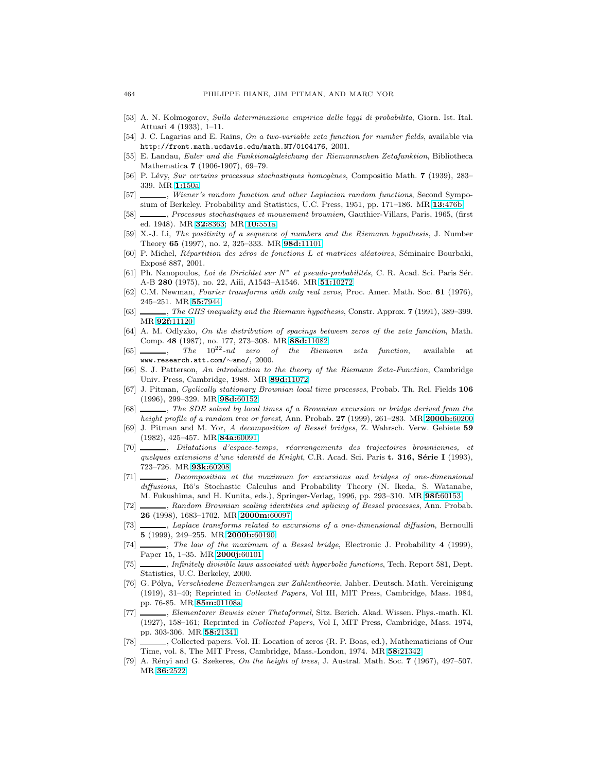- <span id="page-29-10"></span>[53] A. N. Kolmogorov, Sulla determinazione empirica delle leggi di probabilita, Giorn. Ist. Ital. Attuari **4** (1933), 1–11.
- <span id="page-29-26"></span><span id="page-29-21"></span>[54] J. C. Lagarias and E. Rains, On a two-variable zeta function for number fields, available via http://front.math.ucdavis.edu/math.NT/0104176, 2001.
- [55] E. Landau, Euler und die Funktionalgleichung der Riemannschen Zetafunktion, Bibliotheca Mathematica **7** (1906-1907), 69–79.
- <span id="page-29-16"></span><span id="page-29-8"></span>[56] P. Lévy, Sur certains processus stochastiques homogènes, Compositio Math. **7** (1939), 283– 339. MR **1:**[150a](http://www.ams.org/mathscinet-getitem?mr=1:150a)
- <span id="page-29-17"></span>[57]  $\_\_\_\_\$ , Wiener's random function and other Laplacian random functions, Second Symposium of Berkeley. Probability and Statistics, U.C. Press, 1951, pp. 171–186. MR **13:**[476b](http://www.ams.org/mathscinet-getitem?mr=13:476b)
- [58] , Processus stochastiques et mouvement brownien, Gauthier-Villars, Paris, 1965, (first ed. 1948). MR **32:**[8363;](http://www.ams.org/mathscinet-getitem?mr=32:8363) MR **10:**[551a](http://www.ams.org/mathscinet-getitem?mr=10:551a)
- <span id="page-29-1"></span>[59] X.-J. Li, The positivity of a sequence of numbers and the Riemann hypothesis, J. Number Theory **65** (1997), no. 2, 325–333. MR **98d:**[11101](http://www.ams.org/mathscinet-getitem?mr=98d:11101)
- <span id="page-29-25"></span>[60] P. Michel, Répartition des zéros de fonctions L et matrices aléatoires, Séminaire Bourbaki, Exposé 887, 2001.
- <span id="page-29-23"></span>[61] Ph. Nanopoulos, Loi de Dirichlet sur N∗ et pseudo-probabilit´es, C. R. Acad. Sci. Paris S´er. A-B **280** (1975), no. 22, Aiii, A1543–A1546. MR **51:**[10272](http://www.ams.org/mathscinet-getitem?mr=51:10272)
- <span id="page-29-5"></span><span id="page-29-4"></span>[62] C.M. Newman, Fourier transforms with only real zeros, Proc. Amer. Math. Soc. **61** (1976), 245–251. MR **55:**[7944](http://www.ams.org/mathscinet-getitem?mr=55:7944)
- <span id="page-29-24"></span>[63] , The GHS inequality and the Riemann hypothesis, Constr. Approx. **7** (1991), 389–399. MR **92f:**[11120](http://www.ams.org/mathscinet-getitem?mr=92f:11120)
- [64] A. M. Odlyzko, On the distribution of spacings between zeros of the zeta function, Math. Comp. **48** (1987), no. 177, 273–308. MR **88d:**[11082](http://www.ams.org/mathscinet-getitem?mr=88d:11082)
- <span id="page-29-7"></span> $[65]$  , The  $10^{22}$ -nd zero of the Riemann zeta function, available at www.research.att.com/∼amo/, 2000.
- <span id="page-29-0"></span>[66] S. J. Patterson, An introduction to the theory of the Riemann Zeta-Function, Cambridge Univ. Press, Cambridge, 1988. MR **89d:**[11072](http://www.ams.org/mathscinet-getitem?mr=89d:11072)
- <span id="page-29-14"></span>[67] J. Pitman, Cyclically stationary Brownian local time processes, Probab. Th. Rel. Fields **106** (1996), 299–329. MR **98d:**[60152](http://www.ams.org/mathscinet-getitem?mr=98d:60152)
- <span id="page-29-15"></span>[68] , The SDE solved by local times of a Brownian excursion or bridge derived from the height profile of a random tree or forest, Ann. Probab. **27** (1999), 261–283. MR **[2000b:](http://www.ams.org/mathscinet-getitem?mr=2000b:60200)**60200
- <span id="page-29-18"></span>[69] J. Pitman and M. Yor, A decomposition of Bessel bridges, Z. Wahrsch. Verw. Gebiete **59** (1982), 425–457. MR **84a:**[60091](http://www.ams.org/mathscinet-getitem?mr=84a:60091)
- <span id="page-29-19"></span>[70] , Dilatations d'espace-temps, r´earrangements des trajectoires browniennes, et quelques extensions d'une identité de Knight, C.R. Acad. Sci. Paris **t. 316, Série I** (1993), 723–726. MR **93k:**[60208](http://www.ams.org/mathscinet-getitem?mr=93k:60208)
- <span id="page-29-12"></span>[71]  $\_\_\_\_\_\_\_\_\_\_\.\$  Decomposition at the maximum for excursions and bridges of one-dimensional diffusions, Itô's Stochastic Calculus and Probability Theory (N. Ikeda, S. Watanabe, M. Fukushima, and H. Kunita, eds.), Springer-Verlag, 1996, pp. 293–310. MR **98f:**[60153](http://www.ams.org/mathscinet-getitem?mr=98f:60153)
- <span id="page-29-9"></span>[72] , Random Brownian scaling identities and splicing of Bessel processes, Ann. Probab. **26** (1998), 1683–1702. MR **[2000m:](http://www.ams.org/mathscinet-getitem?mr=2000m:60097)**60097
- <span id="page-29-20"></span>[73]  $\_\_\_\_\_\$  Laplace transforms related to excursions of a one-dimensional diffusion, Bernoulli **5** (1999), 249–255. MR **[2000b:](http://www.ams.org/mathscinet-getitem?mr=2000b:60190)**60190
- <span id="page-29-13"></span>[74] , The law of the maximum of a Bessel bridge, Electronic J. Probability **4** (1999), Paper 15, 1–35. MR **[2000j:](http://www.ams.org/mathscinet-getitem?mr=2000j:60101)**60101
- <span id="page-29-2"></span>[75] , Infinitely divisible laws associated with hyperbolic functions, Tech. Report 581, Dept. Statistics, U.C. Berkeley, 2000.
- <span id="page-29-22"></span>[76] G. P´olya, Verschiedene Bemerkungen zur Zahlentheorie, Jahber. Deutsch. Math. Vereinigung (1919), 31–40; Reprinted in Collected Papers, Vol III, MIT Press, Cambridge, Mass. 1984, pp. 76-85. MR **85m:**[01108a](http://www.ams.org/mathscinet-getitem?mr=85m:01108a)
- <span id="page-29-11"></span>[77] , Elementarer Beweis einer Thetaformel, Sitz. Berich. Akad. Wissen. Phys.-math. Kl. (1927), 158–161; Reprinted in Collected Papers, Vol I, MIT Press, Cambridge, Mass. 1974, pp. 303-306. MR **58:**[21341](http://www.ams.org/mathscinet-getitem?mr=58:21341)
- <span id="page-29-3"></span>[78] , Collected papers. Vol. II: Location of zeros (R. P. Boas, ed.), Mathematicians of Our Time, vol. 8, The MIT Press, Cambridge, Mass.-London, 1974. MR **58:**[21342](http://www.ams.org/mathscinet-getitem?mr=58:21342)
- <span id="page-29-6"></span>[79] A. R´enyi and G. Szekeres, On the height of trees, J. Austral. Math. Soc. **7** (1967), 497–507. MR **36:**[2522](http://www.ams.org/mathscinet-getitem?mr=36:2522)